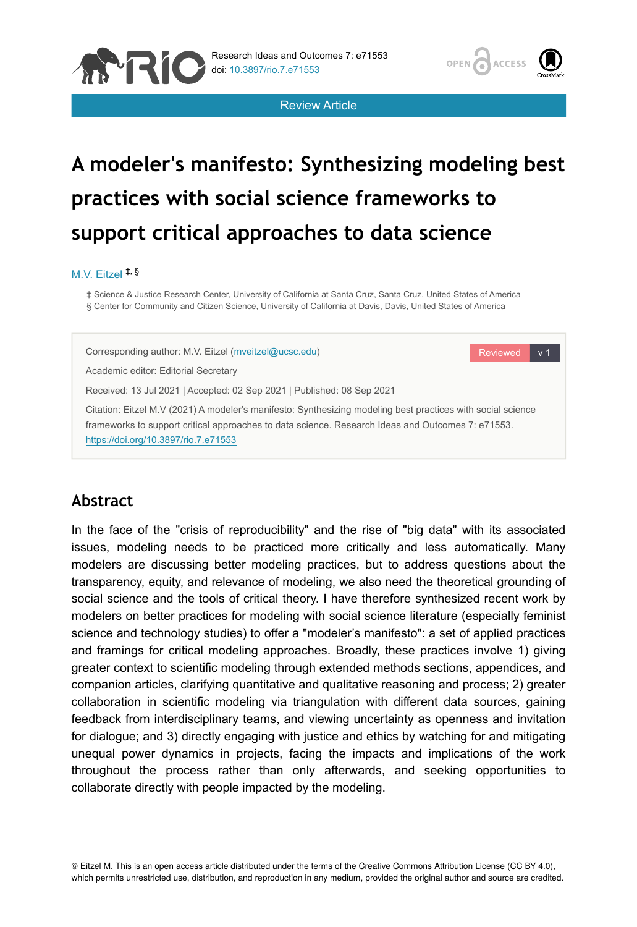





Reviewed v 1

# **A modeler's manifesto: Synthesizing modeling best practices with social science frameworks to support critical approaches to data science**

#### M.V. Eitzel ‡, §

‡ Science & Justice Research Center, University of California at Santa Cruz, Santa Cruz, United States of America § Center for Community and Citizen Science, University of California at Davis, Davis, United States of America

Corresponding author: M.V. Eitzel ([mveitzel@ucsc.edu](mailto:mveitzel@ucsc.edu))

Academic editor: Editorial Secretary

Received: 13 Jul 2021 | Accepted: 02 Sep 2021 | Published: 08 Sep 2021

Citation: Eitzel M.V (2021) A modeler's manifesto: Synthesizing modeling best practices with social science frameworks to support critical approaches to data science. Research Ideas and Outcomes 7: e71553. <https://doi.org/10.3897/rio.7.e71553>

## **Abstract**

In the face of the "crisis of reproducibility" and the rise of "big data" with its associated issues, modeling needs to be practiced more critically and less automatically. Many modelers are discussing better modeling practices, but to address questions about the transparency, equity, and relevance of modeling, we also need the theoretical grounding of social science and the tools of critical theory. I have therefore synthesized recent work by modelers on better practices for modeling with social science literature (especially feminist science and technology studies) to offer a "modeler's manifesto": a set of applied practices and framings for critical modeling approaches. Broadly, these practices involve 1) giving greater context to scientific modeling through extended methods sections, appendices, and companion articles, clarifying quantitative and qualitative reasoning and process; 2) greater collaboration in scientific modeling via triangulation with different data sources, gaining feedback from interdisciplinary teams, and viewing uncertainty as openness and invitation for dialogue; and 3) directly engaging with justice and ethics by watching for and mitigating unequal power dynamics in projects, facing the impacts and implications of the work throughout the process rather than only afterwards, and seeking opportunities to collaborate directly with people impacted by the modeling.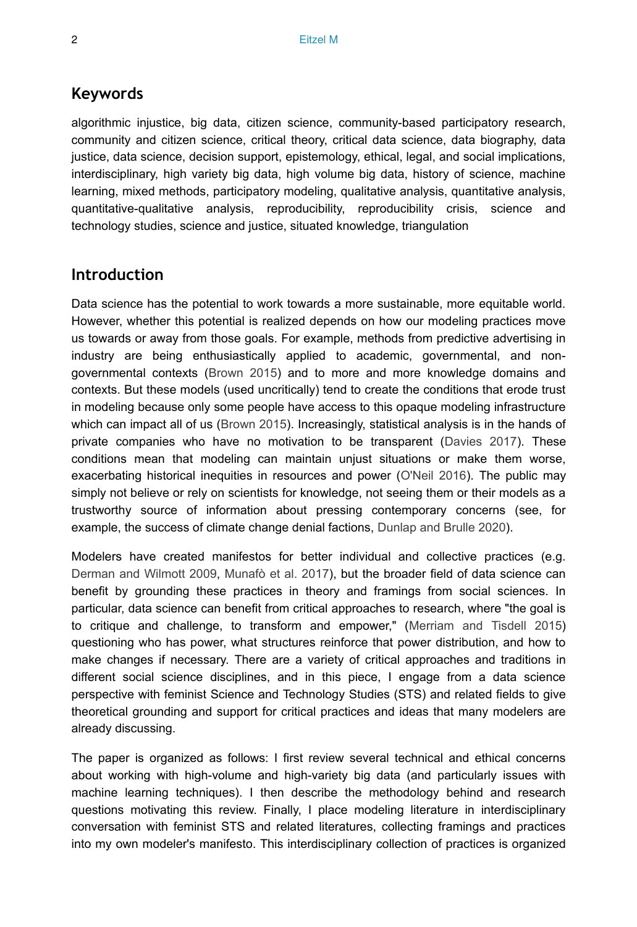#### **Keywords**

algorithmic injustice, big data, citizen science, community-based participatory research, community and citizen science, critical theory, critical data science, data biography, data justice, data science, decision support, epistemology, ethical, legal, and social implications, interdisciplinary, high variety big data, high volume big data, history of science, machine learning, mixed methods, participatory modeling, qualitative analysis, quantitative analysis, quantitative-qualitative analysis, reproducibility, reproducibility crisis, science and technology studies, science and justice, situated knowledge, triangulation

#### **Introduction**

Data science has the potential to work towards a more sustainable, more equitable world. However, whether this potential is realized depends on how our modeling practices move us towards or away from those goals. For example, methods from predictive advertising in industry are being enthusiastically applied to academic, governmental, and nongovernmental contexts [\(Brown 2015](#page-23-0)) and to more and more knowledge domains and contexts. But these models (used uncritically) tend to create the conditions that erode trust in modeling because only some people have access to this opaque modeling infrastructure which can impact all of us ([Brown 2015](#page-23-0)). Increasingly, statistical analysis is in the hands of private companies who have no motivation to be transparent [\(Davies 2017](#page-23-1)). These conditions mean that modeling can maintain unjust situations or make them worse, exacerbating historical inequities in resources and power ([O'Neil 2016](#page-27-0)). The public may simply not believe or rely on scientists for knowledge, not seeing them or their models as a trustworthy source of information about pressing contemporary concerns (see, for example, the success of climate change denial factions, [Dunlap and Brulle 2020](#page-23-2)).

Modelers have created manifestos for better individual and collective practices (e.g. [Derman and Wilmott 2009](#page-23-3), [Munafò et al. 2017\)](#page-26-0), but the broader field of data science can benefit by grounding these practices in theory and framings from social sciences. In particular, data science can benefit from critical approaches to research, where "the goal is to critique and challenge, to transform and empower," [\(Merriam and Tisdell 2015](#page-26-1)) questioning who has power, what structures reinforce that power distribution, and how to make changes if necessary. There are a variety of critical approaches and traditions in different social science disciplines, and in this piece, I engage from a data science perspective with feminist Science and Technology Studies (STS) and related fields to give theoretical grounding and support for critical practices and ideas that many modelers are already discussing.

The paper is organized as follows: I first review several technical and ethical concerns about working with high-volume and high-variety big data (and particularly issues with machine learning techniques). I then describe the methodology behind and research questions motivating this review. Finally, I place modeling literature in interdisciplinary conversation with feminist STS and related literatures, collecting framings and practices into my own modeler's manifesto. This interdisciplinary collection of practices is organized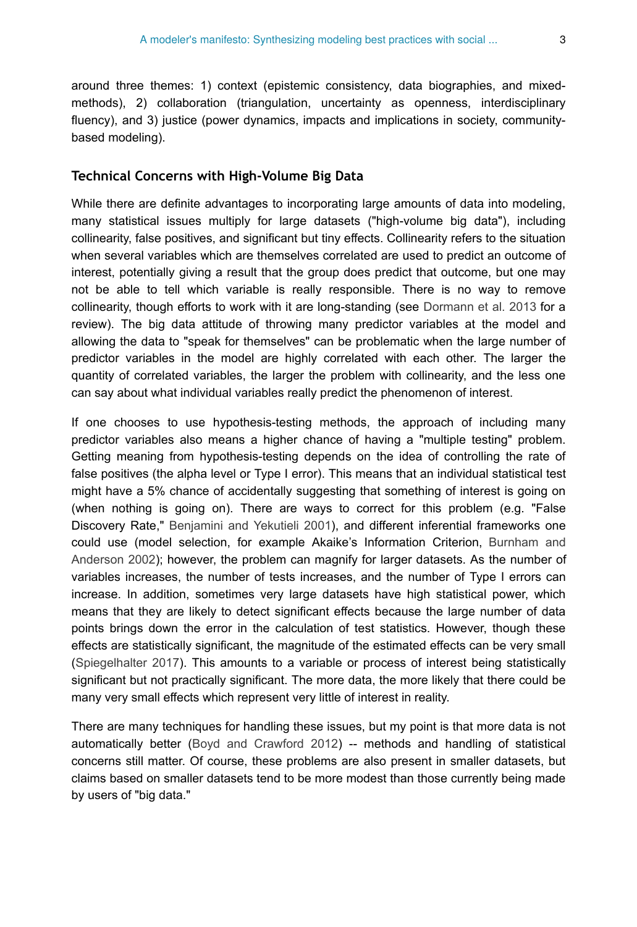around three themes: 1) context (epistemic consistency, data biographies, and mixedmethods), 2) collaboration (triangulation, uncertainty as openness, interdisciplinary fluency), and 3) justice (power dynamics, impacts and implications in society, communitybased modeling).

#### **Technical Concerns with High-Volume Big Data**

While there are definite advantages to incorporating large amounts of data into modeling, many statistical issues multiply for large datasets ("high-volume big data"), including collinearity, false positives, and significant but tiny effects. Collinearity refers to the situation when several variables which are themselves correlated are used to predict an outcome of interest, potentially giving a result that the group does predict that outcome, but one may not be able to tell which variable is really responsible. There is no way to remove collinearity, though efforts to work with it are long-standing (see [Dormann et al. 2013](#page-23-4) for a review). The big data attitude of throwing many predictor variables at the model and allowing the data to "speak for themselves" can be problematic when the large number of predictor variables in the model are highly correlated with each other. The larger the quantity of correlated variables, the larger the problem with collinearity, and the less one can say about what individual variables really predict the phenomenon of interest.

If one chooses to use hypothesis-testing methods, the approach of including many predictor variables also means a higher chance of having a "multiple testing" problem. Getting meaning from hypothesis-testing depends on the idea of controlling the rate of false positives (the alpha level or Type I error). This means that an individual statistical test might have a 5% chance of accidentally suggesting that something of interest is going on (when nothing is going on). There are ways to correct for this problem (e.g. "False Discovery Rate," [Benjamini and Yekutieli 2001](#page-22-0)), and different inferential frameworks one could use (model selection, for example Akaike's Information Criterion, [Burnham and](#page-23-5) [Anderson 2002](#page-23-5)); however, the problem can magnify for larger datasets. As the number of variables increases, the number of tests increases, and the number of Type I errors can increase. In addition, sometimes very large datasets have high statistical power, which means that they are likely to detect significant effects because the large number of data points brings down the error in the calculation of test statistics. However, though these effects are statistically significant, the magnitude of the estimated effects can be very small [\(Spiegelhalter 2017\)](#page-28-0). This amounts to a variable or process of interest being statistically significant but not practically significant. The more data, the more likely that there could be many very small effects which represent very little of interest in reality.

There are many techniques for handling these issues, but my point is that more data is not automatically better ([Boyd and Crawford 2012](#page-23-6)) -- methods and handling of statistical concerns still matter. Of course, these problems are also present in smaller datasets, but claims based on smaller datasets tend to be more modest than those currently being made by users of "big data."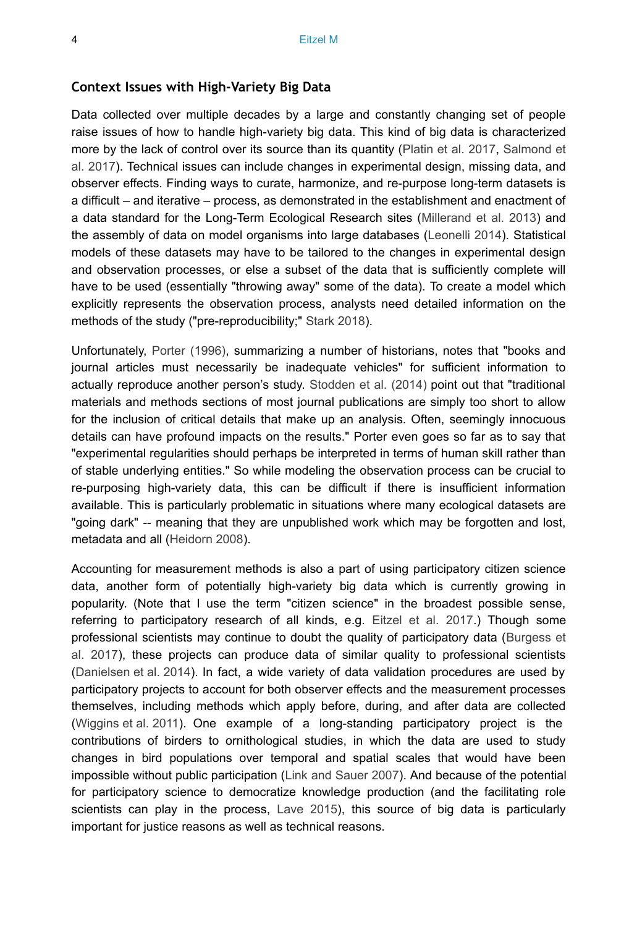#### **Context Issues with High-Variety Big Data**

Data collected over multiple decades by a large and constantly changing set of people raise issues of how to handle high-variety big data. This kind of big data is characterized more by the lack of control over its source than its quantity [\(Platin et al. 2017,](#page-27-1) [Salmond et](#page-27-2) [al. 2017\)](#page-27-2). Technical issues can include changes in experimental design, missing data, and observer effects. Finding ways to curate, harmonize, and re-purpose long-term datasets is a difficult – and iterative – process, as demonstrated in the establishment and enactment of a data standard for the Long-Term Ecological Research sites [\(Millerand et al. 2013\)](#page-26-2) and the assembly of data on model organisms into large databases ([Leonelli 2014](#page-25-0)). Statistical models of these datasets may have to be tailored to the changes in experimental design and observation processes, or else a subset of the data that is sufficiently complete will have to be used (essentially "throwing away" some of the data). To create a model which explicitly represents the observation process, analysts need detailed information on the methods of the study ("pre-reproducibility;" [Stark 2018\)](#page-28-1).

Unfortunately, [Porter \(1996\),](#page-27-3) summarizing a number of historians, notes that "books and journal articles must necessarily be inadequate vehicles" for sufficient information to actually reproduce another person's study. [Stodden et al. \(2014\)](#page-28-2) point out that "traditional materials and methods sections of most journal publications are simply too short to allow for the inclusion of critical details that make up an analysis. Often, seemingly innocuous details can have profound impacts on the results." Porter even goes so far as to say that "experimental regularities should perhaps be interpreted in terms of human skill rather than of stable underlying entities." So while modeling the observation process can be crucial to re-purposing high-variety data, this can be difficult if there is insufficient information available. This is particularly problematic in situations where many ecological datasets are "going dark" -- meaning that they are unpublished work which may be forgotten and lost, metadata and all [\(Heidorn 2008\)](#page-25-1).

Accounting for measurement methods is also a part of using participatory citizen science data, another form of potentially high-variety big data which is currently growing in popularity. (Note that I use the term "citizen science" in the broadest possible sense, referring to participatory research of all kinds, e.g. [Eitzel et al. 2017](#page-24-0).) Though some professional scientists may continue to doubt the quality of participatory data [\(Burgess et](#page-23-7) [al. 2017\)](#page-23-7), these projects can produce data of similar quality to professional scientists [\(Danielsen et al. 2014\)](#page-23-8). In fact, a wide variety of data validation procedures are used by participatory projects to account for both observer effects and the measurement processes themselves, including methods which apply before, during, and after data are collected [\(Wiggins et al. 2011](#page-28-3)). One example of a long-standing participatory project is the contributions of birders to ornithological studies, in which the data are used to study changes in bird populations over temporal and spatial scales that would have been impossible without public participation [\(Link and Sauer 2007\)](#page-26-3). And because of the potential for participatory science to democratize knowledge production (and the facilitating role scientists can play in the process, [Lave 2015\)](#page-25-2), this source of big data is particularly important for justice reasons as well as technical reasons.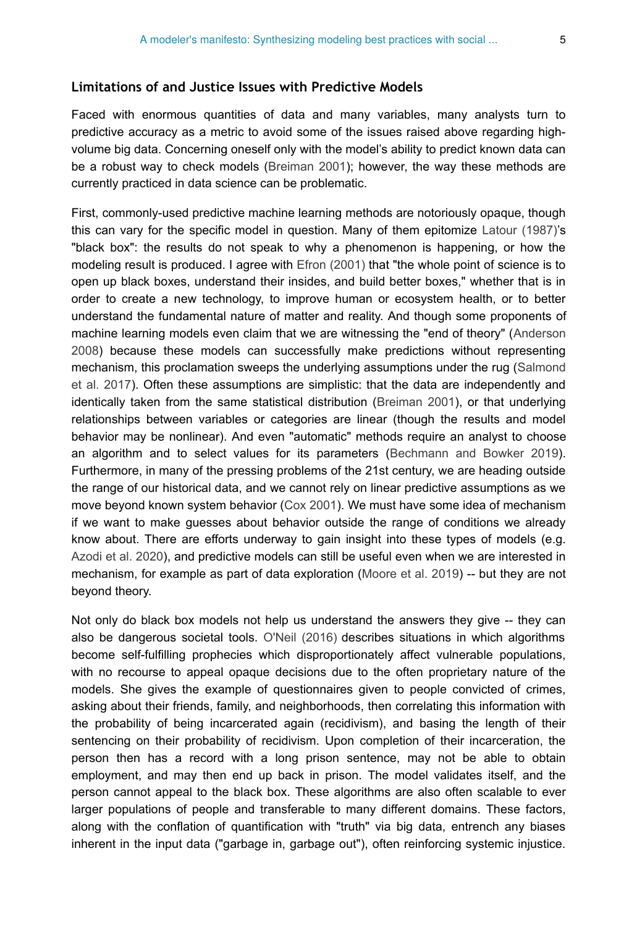#### **Limitations of and Justice Issues with Predictive Models**

Faced with enormous quantities of data and many variables, many analysts turn to predictive accuracy as a metric to avoid some of the issues raised above regarding highvolume big data. Concerning oneself only with the model's ability to predict known data can be a robust way to check models ([Breiman 2001\)](#page-23-9); however, the way these methods are currently practiced in data science can be problematic.

First, commonly-used predictive machine learning methods are notoriously opaque, though this can vary for the specific model in question. Many of them epitomize [Latour \(1987\)'](#page-25-3)s "black box": the results do not speak to why a phenomenon is happening, or how the modeling result is produced. I agree with [Efron \(2001\)](#page-23-10) that "the whole point of science is to open up black boxes, understand their insides, and build better boxes," whether that is in order to create a new technology, to improve human or ecosystem health, or to better understand the fundamental nature of matter and reality. And though some proponents of machine learning models even claim that we are witnessing the "end of theory" ([Anderson](#page-22-1) [2008](#page-22-1)) because these models can successfully make predictions without representing mechanism, this proclamation sweeps the underlying assumptions under the rug ([Salmond](#page-27-2) [et al. 2017](#page-27-2)). Often these assumptions are simplistic: that the data are independently and identically taken from the same statistical distribution ([Breiman 2001\)](#page-23-9), or that underlying relationships between variables or categories are linear (though the results and model behavior may be nonlinear). And even "automatic" methods require an analyst to choose an algorithm and to select values for its parameters [\(Bechmann and Bowker 2019\)](#page-22-2). Furthermore, in many of the pressing problems of the 21st century, we are heading outside the range of our historical data, and we cannot rely on linear predictive assumptions as we move beyond known system behavior ([Cox 2001](#page-23-11)). We must have some idea of mechanism if we want to make guesses about behavior outside the range of conditions we already know about. There are efforts underway to gain insight into these types of models (e.g. [Azodi et al. 2020\)](#page-22-3), and predictive models can still be useful even when we are interested in mechanism, for example as part of data exploration ([Moore et al. 2019\)](#page-26-4) -- but they are not beyond theory.

Not only do black box models not help us understand the answers they give -- they can also be dangerous societal tools. [O'Neil \(2016\)](#page-27-0) describes situations in which algorithms become self-fulfilling prophecies which disproportionately affect vulnerable populations, with no recourse to appeal opaque decisions due to the often proprietary nature of the models. She gives the example of questionnaires given to people convicted of crimes, asking about their friends, family, and neighborhoods, then correlating this information with the probability of being incarcerated again (recidivism), and basing the length of their sentencing on their probability of recidivism. Upon completion of their incarceration, the person then has a record with a long prison sentence, may not be able to obtain employment, and may then end up back in prison. The model validates itself, and the person cannot appeal to the black box. These algorithms are also often scalable to ever larger populations of people and transferable to many different domains. These factors, along with the conflation of quantification with "truth" via big data, entrench any biases inherent in the input data ("garbage in, garbage out"), often reinforcing systemic injustice.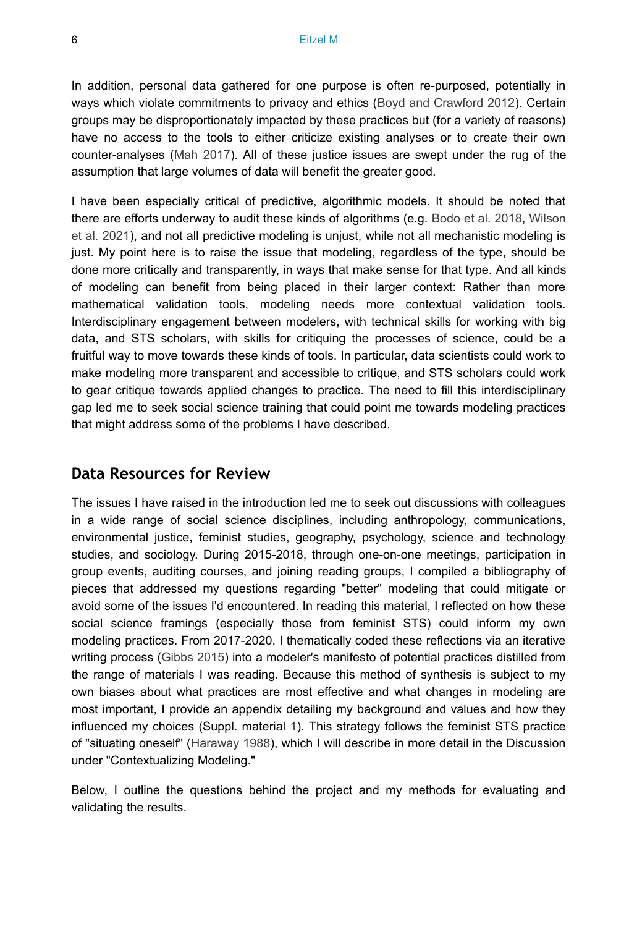In addition, personal data gathered for one purpose is often re-purposed, potentially in ways which violate commitments to privacy and ethics ([Boyd and Crawford 2012\)](#page-23-6). Certain groups may be disproportionately impacted by these practices but (for a variety of reasons) have no access to the tools to either criticize existing analyses or to create their own counter-analyses ([Mah 2017](#page-26-5)). All of these justice issues are swept under the rug of the assumption that large volumes of data will benefit the greater good.

I have been especially critical of predictive, algorithmic models. It should be noted that there are efforts underway to audit these kinds of algorithms (e.g. [Bodo et al. 2018](#page-22-4), [Wilson](#page-28-4) [et al. 2021](#page-28-4)), and not all predictive modeling is unjust, while not all mechanistic modeling is just. My point here is to raise the issue that modeling, regardless of the type, should be done more critically and transparently, in ways that make sense for that type. And all kinds of modeling can benefit from being placed in their larger context: Rather than more mathematical validation tools, modeling needs more contextual validation tools. Interdisciplinary engagement between modelers, with technical skills for working with big data, and STS scholars, with skills for critiquing the processes of science, could be a fruitful way to move towards these kinds of tools. In particular, data scientists could work to make modeling more transparent and accessible to critique, and STS scholars could work to gear critique towards applied changes to practice. The need to fill this interdisciplinary gap led me to seek social science training that could point me towards modeling practices that might address some of the problems I have described.

#### **Data Resources for Review**

The issues I have raised in the introduction led me to seek out discussions with colleagues in a wide range of social science disciplines, including anthropology, communications, environmental justice, feminist studies, geography, psychology, science and technology studies, and sociology. During 2015-2018, through one-on-one meetings, participation in group events, auditing courses, and joining reading groups, I compiled a bibliography of pieces that addressed my questions regarding "better" modeling that could mitigate or avoid some of the issues I'd encountered. In reading this material, I reflected on how these social science framings (especially those from feminist STS) could inform my own modeling practices. From 2017-2020, I thematically coded these reflections via an iterative writing process [\(Gibbs 2015\)](#page-24-1) into a modeler's manifesto of potential practices distilled from the range of materials I was reading. Because this method of synthesis is subject to my own biases about what practices are most effective and what changes in modeling are most important, I provide an appendix detailing my background and values and how they influenced my choices (Suppl. material [1\)](#page-28-5). This strategy follows the feminist STS practice of "situating oneself" ([Haraway 1988](#page-25-4)), which I will describe in more detail in the Discussion under "Contextualizing Modeling."

Below, I outline the questions behind the project and my methods for evaluating and validating the results.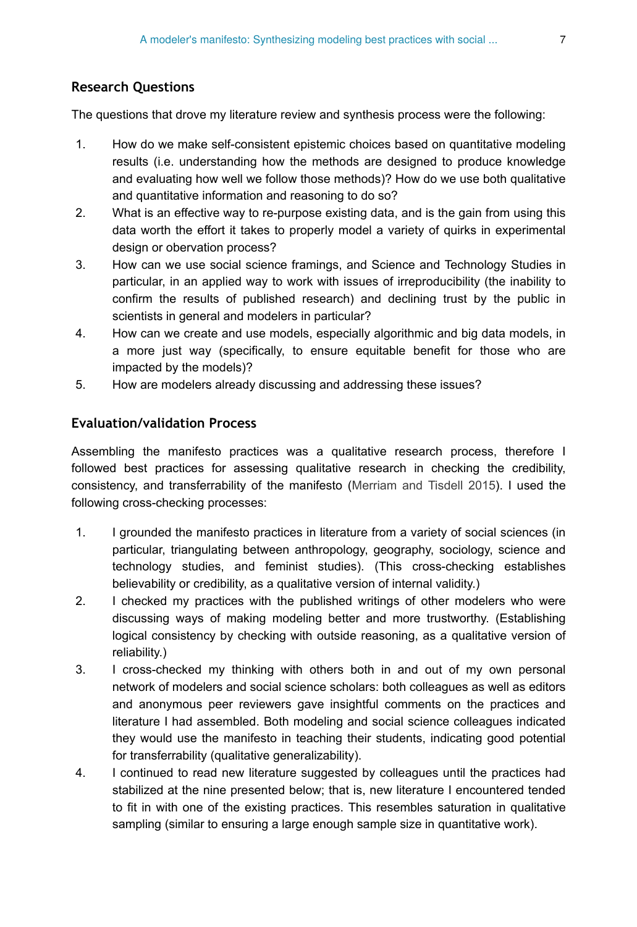#### **Research Questions**

The questions that drove my literature review and synthesis process were the following:

- 1. How do we make self-consistent epistemic choices based on quantitative modeling results (i.e. understanding how the methods are designed to produce knowledge and evaluating how well we follow those methods)? How do we use both qualitative and quantitative information and reasoning to do so?
- 2. What is an effective way to re-purpose existing data, and is the gain from using this data worth the effort it takes to properly model a variety of quirks in experimental design or obervation process?
- 3. How can we use social science framings, and Science and Technology Studies in particular, in an applied way to work with issues of irreproducibility (the inability to confirm the results of published research) and declining trust by the public in scientists in general and modelers in particular?
- 4. How can we create and use models, especially algorithmic and big data models, in a more just way (specifically, to ensure equitable benefit for those who are impacted by the models)?
- 5. How are modelers already discussing and addressing these issues?

#### **Evaluation/validation Process**

Assembling the manifesto practices was a qualitative research process, therefore I followed best practices for assessing qualitative research in checking the credibility, consistency, and transferrability of the manifesto [\(Merriam and Tisdell 2015\)](#page-26-1). I used the following cross-checking processes:

- 1. I grounded the manifesto practices in literature from a variety of social sciences (in particular, triangulating between anthropology, geography, sociology, science and technology studies, and feminist studies). (This cross-checking establishes believability or credibility, as a qualitative version of internal validity.)
- 2. I checked my practices with the published writings of other modelers who were discussing ways of making modeling better and more trustworthy. (Establishing logical consistency by checking with outside reasoning, as a qualitative version of reliability.)
- 3. I cross-checked my thinking with others both in and out of my own personal network of modelers and social science scholars: both colleagues as well as editors and anonymous peer reviewers gave insightful comments on the practices and literature I had assembled. Both modeling and social science colleagues indicated they would use the manifesto in teaching their students, indicating good potential for transferrability (qualitative generalizability).
- 4. I continued to read new literature suggested by colleagues until the practices had stabilized at the nine presented below; that is, new literature I encountered tended to fit in with one of the existing practices. This resembles saturation in qualitative sampling (similar to ensuring a large enough sample size in quantitative work).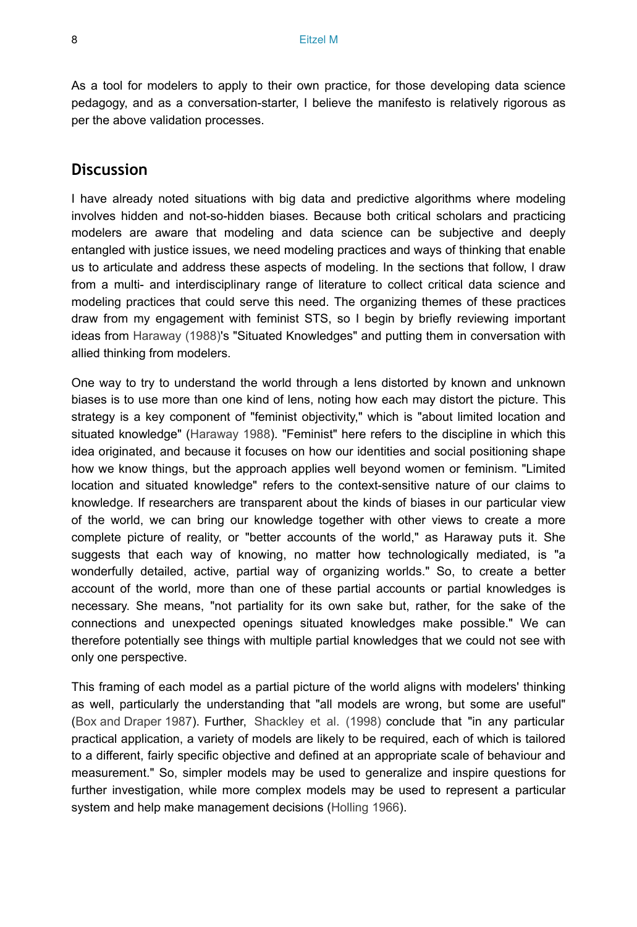As a tool for modelers to apply to their own practice, for those developing data science pedagogy, and as a conversation-starter, I believe the manifesto is relatively rigorous as per the above validation processes.

#### **Discussion**

I have already noted situations with big data and predictive algorithms where modeling involves hidden and not-so-hidden biases. Because both critical scholars and practicing modelers are aware that modeling and data science can be subjective and deeply entangled with justice issues, we need modeling practices and ways of thinking that enable us to articulate and address these aspects of modeling. In the sections that follow, I draw from a multi- and interdisciplinary range of literature to collect critical data science and modeling practices that could serve this need. The organizing themes of these practices draw from my engagement with feminist STS, so I begin by briefly reviewing important ideas from [Haraway \(1988\)](#page-25-4)'s "Situated Knowledges" and putting them in conversation with allied thinking from modelers.

One way to try to understand the world through a lens distorted by known and unknown biases is to use more than one kind of lens, noting how each may distort the picture. This strategy is a key component of "feminist objectivity," which is "about limited location and situated knowledge" ([Haraway 1988](#page-25-4)). "Feminist" here refers to the discipline in which this idea originated, and because it focuses on how our identities and social positioning shape how we know things, but the approach applies well beyond women or feminism. "Limited location and situated knowledge" refers to the context-sensitive nature of our claims to knowledge. If researchers are transparent about the kinds of biases in our particular view of the world, we can bring our knowledge together with other views to create a more complete picture of reality, or "better accounts of the world," as Haraway puts it. She suggests that each way of knowing, no matter how technologically mediated, is "a wonderfully detailed, active, partial way of organizing worlds." So, to create a better account of the world, more than one of these partial accounts or partial knowledges is necessary. She means, "not partiality for its own sake but, rather, for the sake of the connections and unexpected openings situated knowledges make possible." We can therefore potentially see things with multiple partial knowledges that we could not see with only one perspective.

This framing of each model as a partial picture of the world aligns with modelers' thinking as well, particularly the understanding that "all models are wrong, but some are useful" [\(Box and Draper 1987\)](#page-23-12). Further, [Shackley et al. \(1998\)](#page-27-4) conclude that "in any particular practical application, a variety of models are likely to be required, each of which is tailored to a different, fairly specific objective and defined at an appropriate scale of behaviour and measurement." So, simpler models may be used to generalize and inspire questions for further investigation, while more complex models may be used to represent a particular system and help make management decisions ([Holling 1966](#page-25-5)).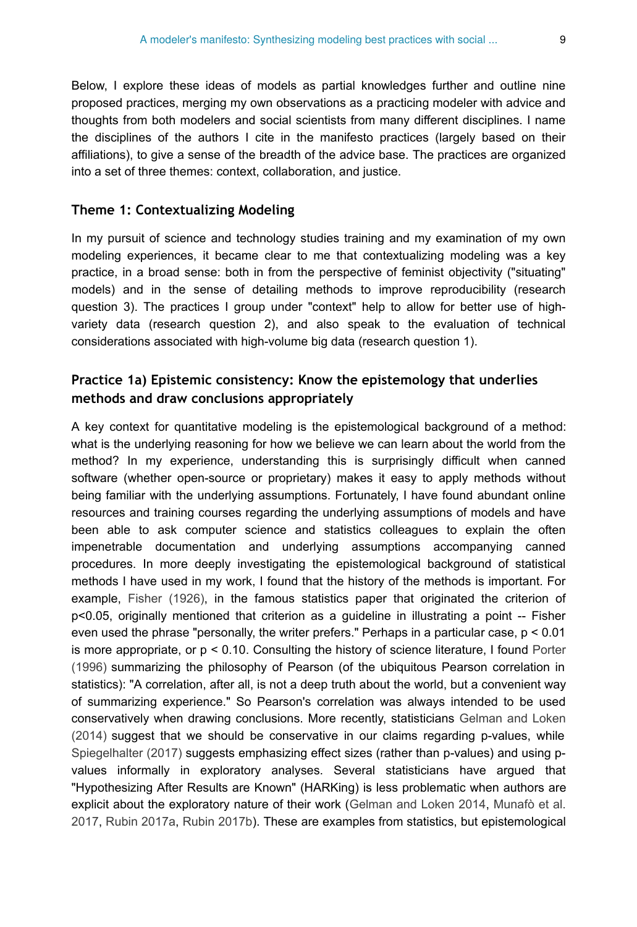Below, I explore these ideas of models as partial knowledges further and outline nine proposed practices, merging my own observations as a practicing modeler with advice and thoughts from both modelers and social scientists from many different disciplines. I name the disciplines of the authors I cite in the manifesto practices (largely based on their affiliations), to give a sense of the breadth of the advice base. The practices are organized into a set of three themes: context, collaboration, and justice.

#### **Theme 1: Contextualizing Modeling**

In my pursuit of science and technology studies training and my examination of my own modeling experiences, it became clear to me that contextualizing modeling was a key practice, in a broad sense: both in from the perspective of feminist objectivity ("situating" models) and in the sense of detailing methods to improve reproducibility (research question 3). The practices I group under "context" help to allow for better use of highvariety data (research question 2), and also speak to the evaluation of technical considerations associated with high-volume big data (research question 1).

#### **Practice 1a) Epistemic consistency: Know the epistemology that underlies methods and draw conclusions appropriately**

A key context for quantitative modeling is the epistemological background of a method: what is the underlying reasoning for how we believe we can learn about the world from the method? In my experience, understanding this is surprisingly difficult when canned software (whether open-source or proprietary) makes it easy to apply methods without being familiar with the underlying assumptions. Fortunately, I have found abundant online resources and training courses regarding the underlying assumptions of models and have been able to ask computer science and statistics colleagues to explain the often impenetrable documentation and underlying assumptions accompanying canned procedures. In more deeply investigating the epistemological background of statistical methods I have used in my work, I found that the history of the methods is important. For example, [Fisher \(1926\),](#page-24-2) in the famous statistics paper that originated the criterion of p<0.05, originally mentioned that criterion as a guideline in illustrating a point -- Fisher even used the phrase "personally, the writer prefers." Perhaps in a particular case, p < 0.01 is more appropriate, or p < 0.10. Consulting the history of science literature, I found [Porter](#page-27-3) [\(1996\)](#page-27-3) summarizing the philosophy of Pearson (of the ubiquitous Pearson correlation in statistics): "A correlation, after all, is not a deep truth about the world, but a convenient way of summarizing experience." So Pearson's correlation was always intended to be used conservatively when drawing conclusions. More recently, statisticians [Gelman and Loken](#page-24-3) [\(2014\)](#page-24-3) suggest that we should be conservative in our claims regarding p-values, while [Spiegelhalter \(2017\)](#page-28-0) suggests emphasizing effect sizes (rather than p-values) and using pvalues informally in exploratory analyses. Several statisticians have argued that "Hypothesizing After Results are Known" (HARKing) is less problematic when authors are explicit about the exploratory nature of their work [\(Gelman and Loken 2014,](#page-24-3) [Munafò et al.](#page-26-0) [2017](#page-26-0), [Rubin 2017a,](#page-27-5) [Rubin 2017b](#page-27-6)). These are examples from statistics, but epistemological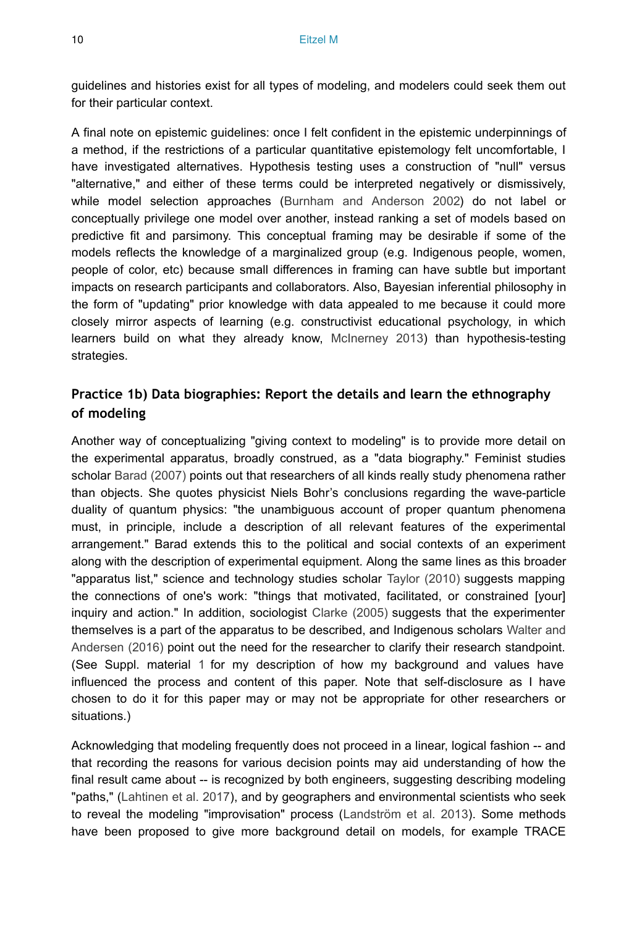guidelines and histories exist for all types of modeling, and modelers could seek them out for their particular context.

A final note on epistemic guidelines: once I felt confident in the epistemic underpinnings of a method, if the restrictions of a particular quantitative epistemology felt uncomfortable, I have investigated alternatives. Hypothesis testing uses a construction of "null" versus "alternative," and either of these terms could be interpreted negatively or dismissively, while model selection approaches ([Burnham and Anderson 2002](#page-23-5)) do not label or conceptually privilege one model over another, instead ranking a set of models based on predictive fit and parsimony. This conceptual framing may be desirable if some of the models reflects the knowledge of a marginalized group (e.g. Indigenous people, women, people of color, etc) because small differences in framing can have subtle but important impacts on research participants and collaborators. Also, Bayesian inferential philosophy in the form of "updating" prior knowledge with data appealed to me because it could more closely mirror aspects of learning (e.g. constructivist educational psychology, in which learners build on what they already know, [McInerney 2013\)](#page-26-6) than hypothesis-testing strategies.

### **Practice 1b) Data biographies: Report the details and learn the ethnography of modeling**

Another way of conceptualizing "giving context to modeling" is to provide more detail on the experimental apparatus, broadly construed, as a "data biography." Feminist studies scholar [Barad \(2007\)](#page-22-5) points out that researchers of all kinds really study phenomena rather than objects. She quotes physicist Niels Bohr's conclusions regarding the wave-particle duality of quantum physics: "the unambiguous account of proper quantum phenomena must, in principle, include a description of all relevant features of the experimental arrangement." Barad extends this to the political and social contexts of an experiment along with the description of experimental equipment. Along the same lines as this broader "apparatus list," science and technology studies scholar [Taylor \(2010\)](#page-28-6) suggests mapping the connections of one's work: "things that motivated, facilitated, or constrained [your] inquiry and action." In addition, sociologist [Clarke \(2005\)](#page-23-13) suggests that the experimenter themselves is a part of the apparatus to be described, and Indigenous scholars [Walter and](#page-28-7) [Andersen \(2016\)](#page-28-7) point out the need for the researcher to clarify their research standpoint. (See Suppl. material [1](#page-28-5) for my description of how my background and values have influenced the process and content of this paper. Note that self-disclosure as I have chosen to do it for this paper may or may not be appropriate for other researchers or situations.)

Acknowledging that modeling frequently does not proceed in a linear, logical fashion -- and that recording the reasons for various decision points may aid understanding of how the final result came about -- is recognized by both engineers, suggesting describing modeling "paths," [\(Lahtinen et al. 2017\)](#page-25-6), and by geographers and environmental scientists who seek to reveal the modeling "improvisation" process ([Landström et al. 2013\)](#page-25-7). Some methods have been proposed to give more background detail on models, for example TRACE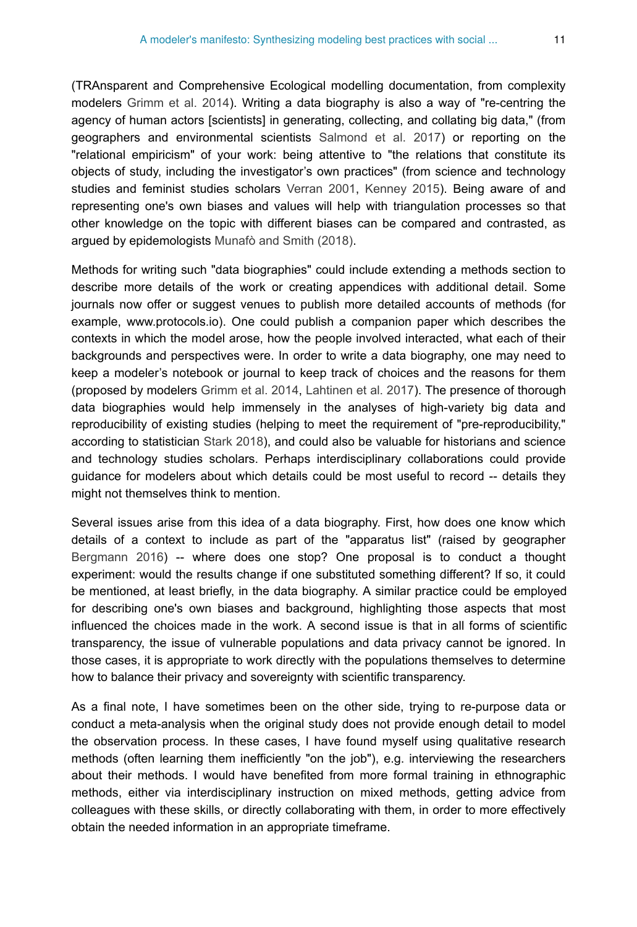(TRAnsparent and Comprehensive Ecological modelling documentation, from complexity modelers [Grimm et al. 2014](#page-24-4)). Writing a data biography is also a way of "re-centring the agency of human actors [scientists] in generating, collecting, and collating big data," (from geographers and environmental scientists [Salmond et al. 2017\)](#page-27-2) or reporting on the "relational empiricism" of your work: being attentive to "the relations that constitute its objects of study, including the investigator's own practices" (from science and technology studies and feminist studies scholars [Verran 2001](#page-28-8), [Kenney 2015\)](#page-25-8). Being aware of and representing one's own biases and values will help with triangulation processes so that other knowledge on the topic with different biases can be compared and contrasted, as argued by epidemologists [Munafò and Smith \(2018\)](#page-26-7).

Methods for writing such "data biographies" could include extending a methods section to describe more details of the work or creating appendices with additional detail. Some journals now offer or suggest venues to publish more detailed accounts of methods (for example, www.protocols.io). One could publish a companion paper which describes the contexts in which the model arose, how the people involved interacted, what each of their backgrounds and perspectives were. In order to write a data biography, one may need to keep a modeler's notebook or journal to keep track of choices and the reasons for them (proposed by modelers [Grimm et al. 2014](#page-24-4), [Lahtinen et al. 2017\)](#page-25-6). The presence of thorough data biographies would help immensely in the analyses of high-variety big data and reproducibility of existing studies (helping to meet the requirement of "pre-reproducibility," according to statistician [Stark 2018](#page-28-1)), and could also be valuable for historians and science and technology studies scholars. Perhaps interdisciplinary collaborations could provide guidance for modelers about which details could be most useful to record -- details they might not themselves think to mention.

Several issues arise from this idea of a data biography. First, how does one know which details of a context to include as part of the "apparatus list" (raised by geographer [Bergmann 2016](#page-22-6)) -- where does one stop? One proposal is to conduct a thought experiment: would the results change if one substituted something different? If so, it could be mentioned, at least briefly, in the data biography. A similar practice could be employed for describing one's own biases and background, highlighting those aspects that most influenced the choices made in the work. A second issue is that in all forms of scientific transparency, the issue of vulnerable populations and data privacy cannot be ignored. In those cases, it is appropriate to work directly with the populations themselves to determine how to balance their privacy and sovereignty with scientific transparency.

As a final note, I have sometimes been on the other side, trying to re-purpose data or conduct a meta-analysis when the original study does not provide enough detail to model the observation process. In these cases, I have found myself using qualitative research methods (often learning them inefficiently "on the job"), e.g. interviewing the researchers about their methods. I would have benefited from more formal training in ethnographic methods, either via interdisciplinary instruction on mixed methods, getting advice from colleagues with these skills, or directly collaborating with them, in order to more effectively obtain the needed information in an appropriate timeframe.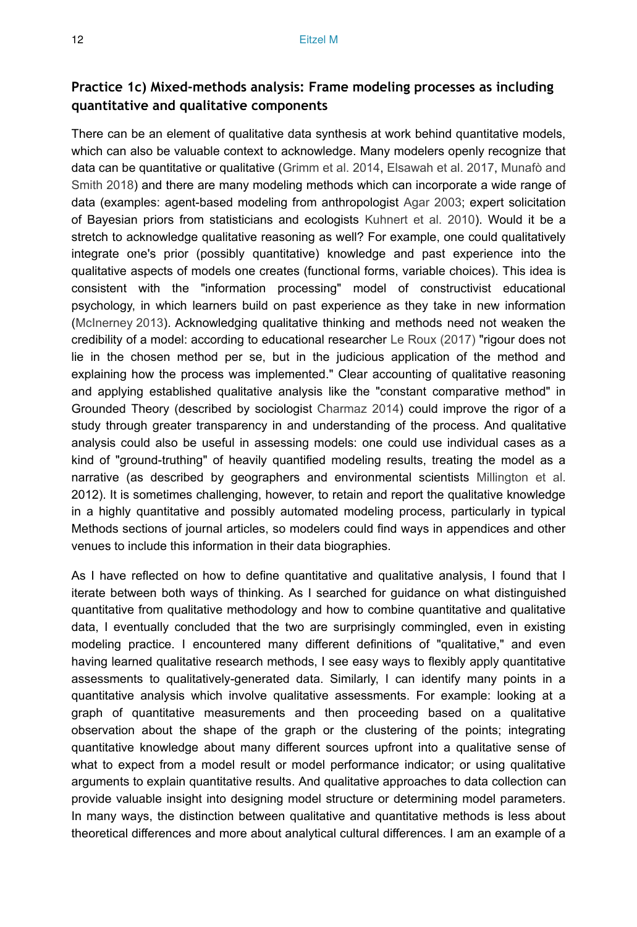#### **Practice 1c) Mixed-methods analysis: Frame modeling processes as including quantitative and qualitative components**

There can be an element of qualitative data synthesis at work behind quantitative models, which can also be valuable context to acknowledge. Many modelers openly recognize that data can be quantitative or qualitative [\(Grimm et al. 2014,](#page-24-4) [Elsawah et al. 2017,](#page-24-5) [Munafò and](#page-26-7) [Smith 2018](#page-26-7)) and there are many modeling methods which can incorporate a wide range of data (examples: agent-based modeling from anthropologist [Agar 2003;](#page-22-7) expert solicitation of Bayesian priors from statisticians and ecologists [Kuhnert et al. 2010\)](#page-25-9). Would it be a stretch to acknowledge qualitative reasoning as well? For example, one could qualitatively integrate one's prior (possibly quantitative) knowledge and past experience into the qualitative aspects of models one creates (functional forms, variable choices). This idea is consistent with the "information processing" model of constructivist educational psychology, in which learners build on past experience as they take in new information [\(McInerney 2013\)](#page-26-6). Acknowledging qualitative thinking and methods need not weaken the credibility of a model: according to educational researcher [Le Roux \(2017\)](#page-26-8) "rigour does not lie in the chosen method per se, but in the judicious application of the method and explaining how the process was implemented." Clear accounting of qualitative reasoning and applying established qualitative analysis like the "constant comparative method" in Grounded Theory (described by sociologist [Charmaz 2014](#page-23-14)) could improve the rigor of a study through greater transparency in and understanding of the process. And qualitative analysis could also be useful in assessing models: one could use individual cases as a kind of "ground-truthing" of heavily quantified modeling results, treating the model as a narrative (as described by geographers and environmental scientists [Millington et al.](#page-26-9) 2012). It is sometimes challenging, however, to retain and report the qualitative knowledge in a highly quantitative and possibly automated modeling process, particularly in typical Methods sections of journal articles, so modelers could find ways in appendices and other venues to include this information in their data biographies.

As I have reflected on how to define quantitative and qualitative analysis, I found that I iterate between both ways of thinking. As I searched for guidance on what distinguished quantitative from qualitative methodology and how to combine quantitative and qualitative data, I eventually concluded that the two are surprisingly commingled, even in existing modeling practice. I encountered many different definitions of "qualitative," and even having learned qualitative research methods, I see easy ways to flexibly apply quantitative assessments to qualitatively-generated data. Similarly, I can identify many points in a quantitative analysis which involve qualitative assessments. For example: looking at a graph of quantitative measurements and then proceeding based on a qualitative observation about the shape of the graph or the clustering of the points; integrating quantitative knowledge about many different sources upfront into a qualitative sense of what to expect from a model result or model performance indicator; or using qualitative arguments to explain quantitative results. And qualitative approaches to data collection can provide valuable insight into designing model structure or determining model parameters. In many ways, the distinction between qualitative and quantitative methods is less about theoretical differences and more about analytical cultural differences. I am an example of a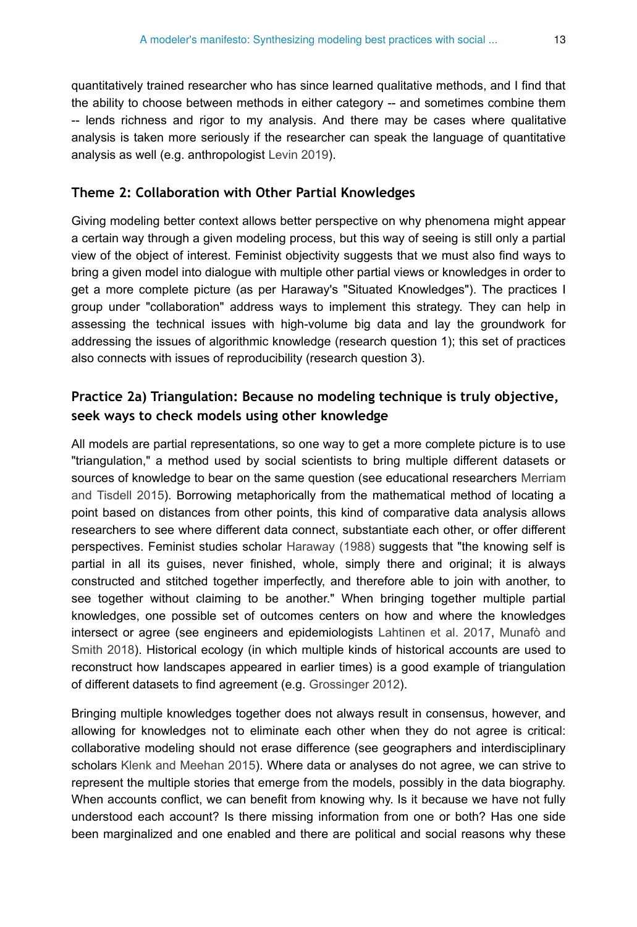quantitatively trained researcher who has since learned qualitative methods, and I find that the ability to choose between methods in either category -- and sometimes combine them -- lends richness and rigor to my analysis. And there may be cases where qualitative analysis is taken more seriously if the researcher can speak the language of quantitative analysis as well (e.g. anthropologist [Levin 2019](#page-26-10)).

#### **Theme 2: Collaboration with Other Partial Knowledges**

Giving modeling better context allows better perspective on why phenomena might appear a certain way through a given modeling process, but this way of seeing is still only a partial view of the object of interest. Feminist objectivity suggests that we must also find ways to bring a given model into dialogue with multiple other partial views or knowledges in order to get a more complete picture (as per Haraway's "Situated Knowledges"). The practices I group under "collaboration" address ways to implement this strategy. They can help in assessing the technical issues with high-volume big data and lay the groundwork for addressing the issues of algorithmic knowledge (research question 1); this set of practices also connects with issues of reproducibility (research question 3).

### **Practice 2a) Triangulation: Because no modeling technique is truly objective, seek ways to check models using other knowledge**

All models are partial representations, so one way to get a more complete picture is to use "triangulation," a method used by social scientists to bring multiple different datasets or sources of knowledge to bear on the same question (see educational researchers [Merriam](#page-26-1) [and Tisdell 2015](#page-26-1)). Borrowing metaphorically from the mathematical method of locating a point based on distances from other points, this kind of comparative data analysis allows researchers to see where different data connect, substantiate each other, or offer different perspectives. Feminist studies scholar [Haraway \(1988\)](#page-25-4) suggests that "the knowing self is partial in all its guises, never finished, whole, simply there and original; it is always constructed and stitched together imperfectly, and therefore able to join with another, to see together without claiming to be another." When bringing together multiple partial knowledges, one possible set of outcomes centers on how and where the knowledges intersect or agree (see engineers and epidemiologists [Lahtinen et al. 2017](#page-25-6), [Munafò and](#page-26-7) [Smith 2018\)](#page-26-7). Historical ecology (in which multiple kinds of historical accounts are used to reconstruct how landscapes appeared in earlier times) is a good example of triangulation of different datasets to find agreement (e.g. [Grossinger 2012](#page-24-6)).

Bringing multiple knowledges together does not always result in consensus, however, and allowing for knowledges not to eliminate each other when they do not agree is critical: collaborative modeling should not erase difference (see geographers and interdisciplinary scholars [Klenk and Meehan 2015\)](#page-25-10). Where data or analyses do not agree, we can strive to represent the multiple stories that emerge from the models, possibly in the data biography. When accounts conflict, we can benefit from knowing why. Is it because we have not fully understood each account? Is there missing information from one or both? Has one side been marginalized and one enabled and there are political and social reasons why these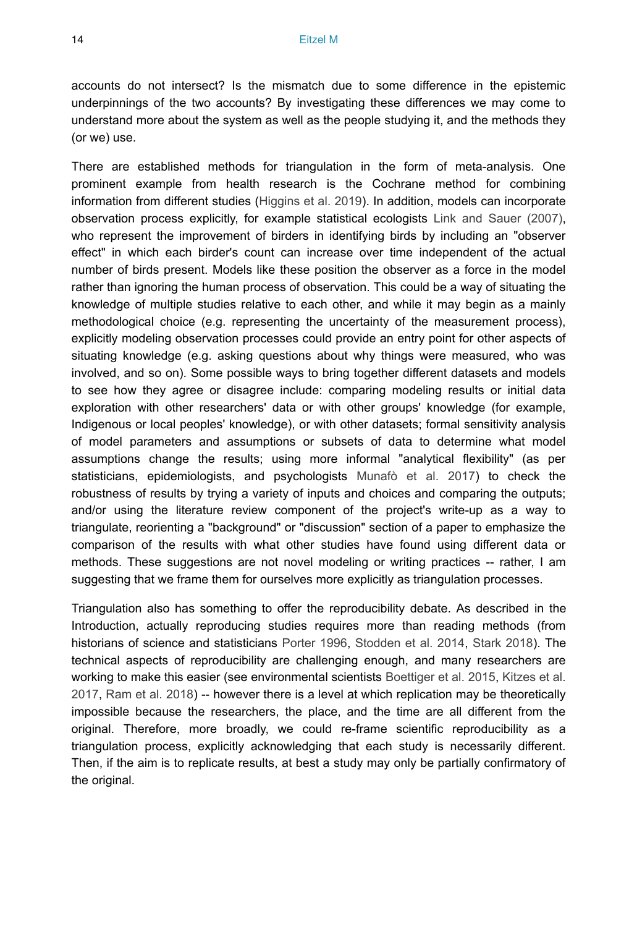accounts do not intersect? Is the mismatch due to some difference in the epistemic underpinnings of the two accounts? By investigating these differences we may come to understand more about the system as well as the people studying it, and the methods they (or we) use.

There are established methods for triangulation in the form of meta-analysis. One prominent example from health research is the Cochrane method for combining information from different studies ([Higgins et al. 2019\)](#page-25-11). In addition, models can incorporate observation process explicitly, for example statistical ecologists [Link and Sauer \(2007\),](#page-26-3) who represent the improvement of birders in identifying birds by including an "observer effect" in which each birder's count can increase over time independent of the actual number of birds present. Models like these position the observer as a force in the model rather than ignoring the human process of observation. This could be a way of situating the knowledge of multiple studies relative to each other, and while it may begin as a mainly methodological choice (e.g. representing the uncertainty of the measurement process), explicitly modeling observation processes could provide an entry point for other aspects of situating knowledge (e.g. asking questions about why things were measured, who was involved, and so on). Some possible ways to bring together different datasets and models to see how they agree or disagree include: comparing modeling results or initial data exploration with other researchers' data or with other groups' knowledge (for example, Indigenous or local peoples' knowledge), or with other datasets; formal sensitivity analysis of model parameters and assumptions or subsets of data to determine what model assumptions change the results; using more informal "analytical flexibility" (as per statisticians, epidemiologists, and psychologists [Munafò et al. 2017\)](#page-26-0) to check the robustness of results by trying a variety of inputs and choices and comparing the outputs; and/or using the literature review component of the project's write-up as a way to triangulate, reorienting a "background" or "discussion" section of a paper to emphasize the comparison of the results with what other studies have found using different data or methods. These suggestions are not novel modeling or writing practices -- rather, I am suggesting that we frame them for ourselves more explicitly as triangulation processes.

Triangulation also has something to offer the reproducibility debate. As described in the Introduction, actually reproducing studies requires more than reading methods (from historians of science and statisticians [Porter 1996,](#page-27-3) [Stodden et al. 2014](#page-28-2), [Stark 2018](#page-28-1)). The technical aspects of reproducibility are challenging enough, and many researchers are working to make this easier (see environmental scientists [Boettiger et al. 2015,](#page-23-15) [Kitzes et al.](#page-25-12) [2017](#page-25-12), [Ram et al. 2018](#page-27-7)) -- however there is a level at which replication may be theoretically impossible because the researchers, the place, and the time are all different from the original. Therefore, more broadly, we could re-frame scientific reproducibility as a triangulation process, explicitly acknowledging that each study is necessarily different. Then, if the aim is to replicate results, at best a study may only be partially confirmatory of the original.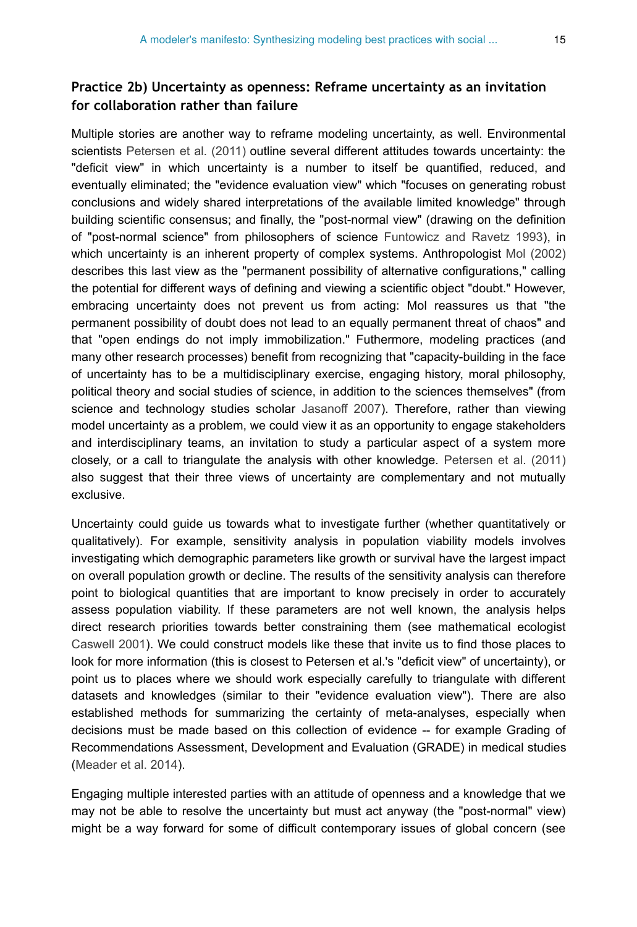#### **Practice 2b) Uncertainty as openness: Reframe uncertainty as an invitation for collaboration rather than failure**

Multiple stories are another way to reframe modeling uncertainty, as well. Environmental scientists [Petersen et al. \(2011\)](#page-27-8) outline several different attitudes towards uncertainty: the "deficit view" in which uncertainty is a number to itself be quantified, reduced, and eventually eliminated; the "evidence evaluation view" which "focuses on generating robust conclusions and widely shared interpretations of the available limited knowledge" through building scientific consensus; and finally, the "post-normal view" (drawing on the definition of "post-normal science" from philosophers of science [Funtowicz and Ravetz 1993](#page-24-7)), in which uncertainty is an inherent property of complex systems. Anthropologist [Mol \(2002\)](#page-26-11) describes this last view as the "permanent possibility of alternative configurations," calling the potential for different ways of defining and viewing a scientific object "doubt." However, embracing uncertainty does not prevent us from acting: Mol reassures us that "the permanent possibility of doubt does not lead to an equally permanent threat of chaos" and that "open endings do not imply immobilization." Futhermore, modeling practices (and many other research processes) benefit from recognizing that "capacity-building in the face of uncertainty has to be a multidisciplinary exercise, engaging history, moral philosophy, political theory and social studies of science, in addition to the sciences themselves" (from science and technology studies scholar [Jasanoff 2007\)](#page-25-13). Therefore, rather than viewing model uncertainty as a problem, we could view it as an opportunity to engage stakeholders and interdisciplinary teams, an invitation to study a particular aspect of a system more closely, or a call to triangulate the analysis with other knowledge. [Petersen et al. \(2011\)](#page-27-8) also suggest that their three views of uncertainty are complementary and not mutually exclusive.

Uncertainty could guide us towards what to investigate further (whether quantitatively or qualitatively). For example, sensitivity analysis in population viability models involves investigating which demographic parameters like growth or survival have the largest impact on overall population growth or decline. The results of the sensitivity analysis can therefore point to biological quantities that are important to know precisely in order to accurately assess population viability. If these parameters are not well known, the analysis helps direct research priorities towards better constraining them (see mathematical ecologist [Caswell 2001](#page-23-16)). We could construct models like these that invite us to find those places to look for more information (this is closest to Petersen et al.'s "deficit view" of uncertainty), or point us to places where we should work especially carefully to triangulate with different datasets and knowledges (similar to their "evidence evaluation view"). There are also established methods for summarizing the certainty of meta-analyses, especially when decisions must be made based on this collection of evidence -- for example Grading of Recommendations Assessment, Development and Evaluation (GRADE) in medical studies [\(Meader et al. 2014](#page-26-12)).

Engaging multiple interested parties with an attitude of openness and a knowledge that we may not be able to resolve the uncertainty but must act anyway (the "post-normal" view) might be a way forward for some of difficult contemporary issues of global concern (see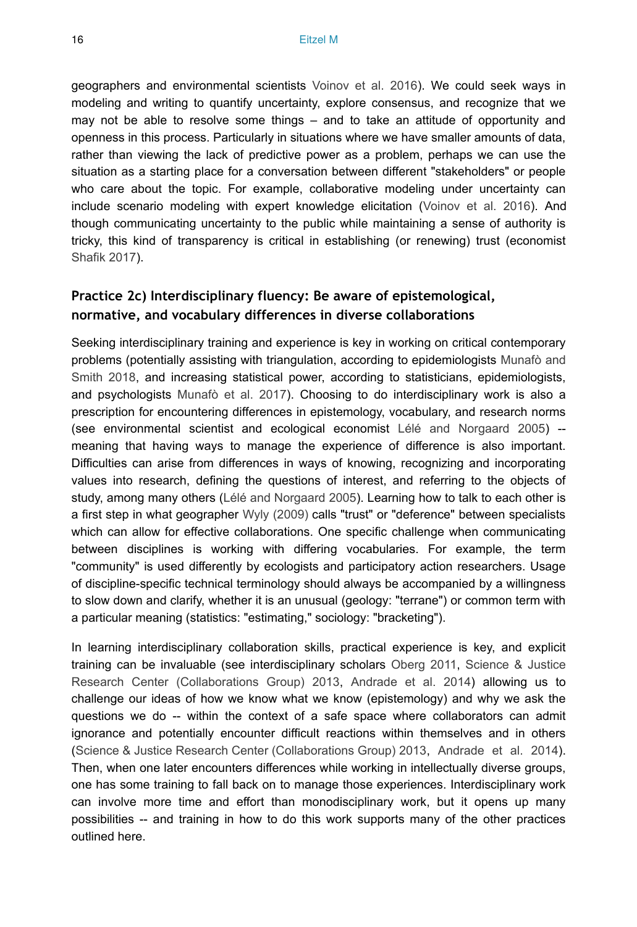geographers and environmental scientists [Voinov et al. 2016](#page-28-9)). We could seek ways in modeling and writing to quantify uncertainty, explore consensus, and recognize that we may not be able to resolve some things – and to take an attitude of opportunity and openness in this process. Particularly in situations where we have smaller amounts of data, rather than viewing the lack of predictive power as a problem, perhaps we can use the situation as a starting place for a conversation between different "stakeholders" or people who care about the topic. For example, collaborative modeling under uncertainty can include scenario modeling with expert knowledge elicitation ([Voinov et al. 2016](#page-28-9)). And though communicating uncertainty to the public while maintaining a sense of authority is tricky, this kind of transparency is critical in establishing (or renewing) trust (economist [Shafik 2017\)](#page-27-9).

#### **Practice 2c) Interdisciplinary fluency: Be aware of epistemological, normative, and vocabulary differences in diverse collaborations**

Seeking interdisciplinary training and experience is key in working on critical contemporary problems (potentially assisting with triangulation, according to epidemiologists [Munafò and](#page-26-7) [Smith 2018,](#page-26-7) and increasing statistical power, according to statisticians, epidemiologists, and psychologists [Munafò et al. 2017](#page-26-0)). Choosing to do interdisciplinary work is also a prescription for encountering differences in epistemology, vocabulary, and research norms (see environmental scientist and ecological economist [Lélé and Norgaard 2005](#page-25-14)) - meaning that having ways to manage the experience of difference is also important. Difficulties can arise from differences in ways of knowing, recognizing and incorporating values into research, defining the questions of interest, and referring to the objects of study, among many others ([Lélé and Norgaard 2005](#page-25-14)). Learning how to talk to each other is a first step in what geographer [Wyly \(2009\)](#page-28-10) calls "trust" or "deference" between specialists which can allow for effective collaborations. One specific challenge when communicating between disciplines is working with differing vocabularies. For example, the term "community" is used differently by ecologists and participatory action researchers. Usage of discipline-specific technical terminology should always be accompanied by a willingness to slow down and clarify, whether it is an unusual (geology: "terrane") or common term with a particular meaning (statistics: "estimating," sociology: "bracketing").

In learning interdisciplinary collaboration skills, practical experience is key, and explicit training can be invaluable (see interdisciplinary scholars [Oberg 2011](#page-27-10), [Science & Justice](#page-27-11) [Research Center \(Collaborations Group\) 2013](#page-27-11), [Andrade et al. 2014\)](#page-22-8) allowing us to challenge our ideas of how we know what we know (epistemology) and why we ask the questions we do -- within the context of a safe space where collaborators can admit ignorance and potentially encounter difficult reactions within themselves and in others [\(Science & Justice Research Center \(Collaborations Group\) 2013](#page-27-11), [Andrade et al. 2014\)](#page-22-8). Then, when one later encounters differences while working in intellectually diverse groups, one has some training to fall back on to manage those experiences. Interdisciplinary work can involve more time and effort than monodisciplinary work, but it opens up many possibilities -- and training in how to do this work supports many of the other practices outlined here.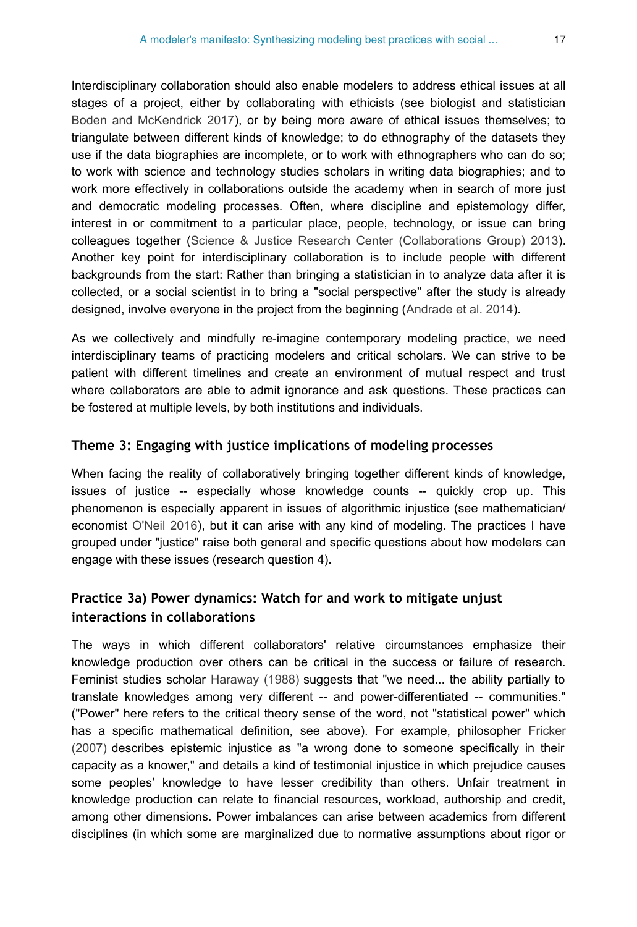Interdisciplinary collaboration should also enable modelers to address ethical issues at all stages of a project, either by collaborating with ethicists (see biologist and statistician [Boden and McKendrick 2017](#page-22-9)), or by being more aware of ethical issues themselves; to triangulate between different kinds of knowledge; to do ethnography of the datasets they use if the data biographies are incomplete, or to work with ethnographers who can do so; to work with science and technology studies scholars in writing data biographies; and to work more effectively in collaborations outside the academy when in search of more just and democratic modeling processes. Often, where discipline and epistemology differ, interest in or commitment to a particular place, people, technology, or issue can bring colleagues together ([Science & Justice Research Center \(Collaborations Group\) 2013\)](#page-27-11). Another key point for interdisciplinary collaboration is to include people with different backgrounds from the start: Rather than bringing a statistician in to analyze data after it is collected, or a social scientist in to bring a "social perspective" after the study is already designed, involve everyone in the project from the beginning ([Andrade et al. 2014\)](#page-22-8).

As we collectively and mindfully re-imagine contemporary modeling practice, we need interdisciplinary teams of practicing modelers and critical scholars. We can strive to be patient with different timelines and create an environment of mutual respect and trust where collaborators are able to admit ignorance and ask questions. These practices can be fostered at multiple levels, by both institutions and individuals.

#### **Theme 3: Engaging with justice implications of modeling processes**

When facing the reality of collaboratively bringing together different kinds of knowledge, issues of justice -- especially whose knowledge counts -- quickly crop up. This phenomenon is especially apparent in issues of algorithmic injustice (see mathematician/ economist [O'Neil 2016\)](#page-27-0), but it can arise with any kind of modeling. The practices I have grouped under "justice" raise both general and specific questions about how modelers can engage with these issues (research question 4).

#### **Practice 3a) Power dynamics: Watch for and work to mitigate unjust interactions in collaborations**

The ways in which different collaborators' relative circumstances emphasize their knowledge production over others can be critical in the success or failure of research. Feminist studies scholar [Haraway \(1988\)](#page-25-4) suggests that "we need... the ability partially to translate knowledges among very different -- and power-differentiated -- communities." ("Power" here refers to the critical theory sense of the word, not "statistical power" which has a specific mathematical definition, see above). For example, philosopher [Fricker](#page-24-8) [\(2007\)](#page-24-8) describes epistemic injustice as "a wrong done to someone specifically in their capacity as a knower," and details a kind of testimonial injustice in which prejudice causes some peoples' knowledge to have lesser credibility than others. Unfair treatment in knowledge production can relate to financial resources, workload, authorship and credit, among other dimensions. Power imbalances can arise between academics from different disciplines (in which some are marginalized due to normative assumptions about rigor or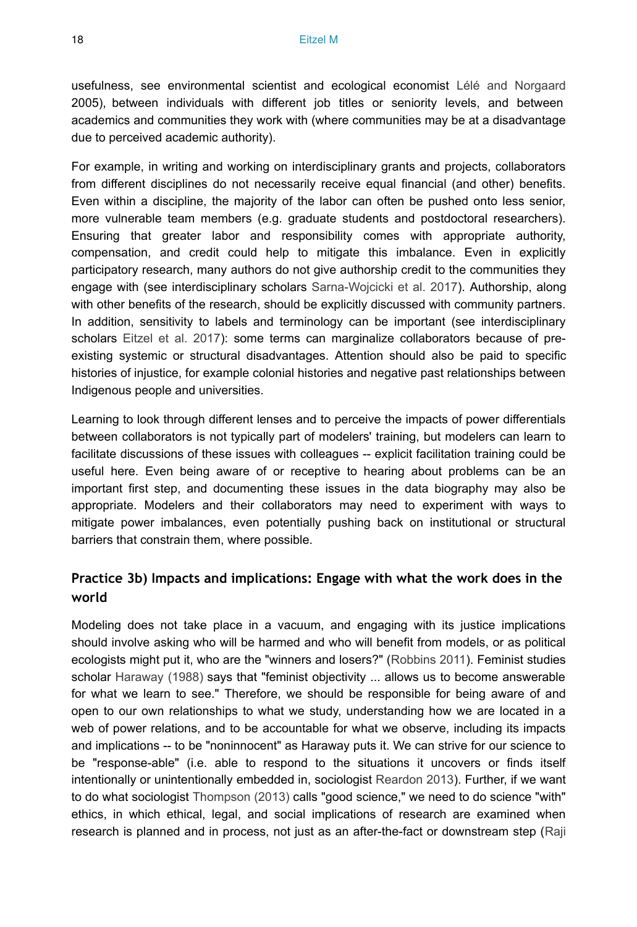usefulness, see environmental scientist and ecological economist [Lélé and Norgaard](#page-25-14) 2005), between individuals with different job titles or seniority levels, and between academics and communities they work with (where communities may be at a disadvantage due to perceived academic authority).

For example, in writing and working on interdisciplinary grants and projects, collaborators from different disciplines do not necessarily receive equal financial (and other) benefits. Even within a discipline, the majority of the labor can often be pushed onto less senior, more vulnerable team members (e.g. graduate students and postdoctoral researchers). Ensuring that greater labor and responsibility comes with appropriate authority, compensation, and credit could help to mitigate this imbalance. Even in explicitly participatory research, many authors do not give authorship credit to the communities they engage with (see interdisciplinary scholars [Sarna-Wojcicki et al. 2017\)](#page-27-12). Authorship, along with other benefits of the research, should be explicitly discussed with community partners. In addition, sensitivity to labels and terminology can be important (see interdisciplinary scholars [Eitzel et al. 2017\)](#page-24-0): some terms can marginalize collaborators because of preexisting systemic or structural disadvantages. Attention should also be paid to specific histories of injustice, for example colonial histories and negative past relationships between Indigenous people and universities.

Learning to look through different lenses and to perceive the impacts of power differentials between collaborators is not typically part of modelers' training, but modelers can learn to facilitate discussions of these issues with colleagues -- explicit facilitation training could be useful here. Even being aware of or receptive to hearing about problems can be an important first step, and documenting these issues in the data biography may also be appropriate. Modelers and their collaborators may need to experiment with ways to mitigate power imbalances, even potentially pushing back on institutional or structural barriers that constrain them, where possible.

#### **Practice 3b) Impacts and implications: Engage with what the work does in the world**

Modeling does not take place in a vacuum, and engaging with its justice implications should involve asking who will be harmed and who will benefit from models, or as political ecologists might put it, who are the "winners and losers?" ([Robbins 2011\)](#page-27-13). Feminist studies scholar [Haraway \(1988\)](#page-25-4) says that "feminist objectivity ... allows us to become answerable for what we learn to see." Therefore, we should be responsible for being aware of and open to our own relationships to what we study, understanding how we are located in a web of power relations, and to be accountable for what we observe, including its impacts and implications -- to be "noninnocent" as Haraway puts it. We can strive for our science to be "response-able" (i.e. able to respond to the situations it uncovers or finds itself intentionally or unintentionally embedded in, sociologist [Reardon 2013\)](#page-27-14). Further, if we want to do what sociologist [Thompson \(2013\)](#page-28-11) calls "good science," we need to do science "with" ethics, in which ethical, legal, and social implications of research are examined when research is planned and in process, not just as an after-the-fact or downstream step ([Raji](#page-27-15)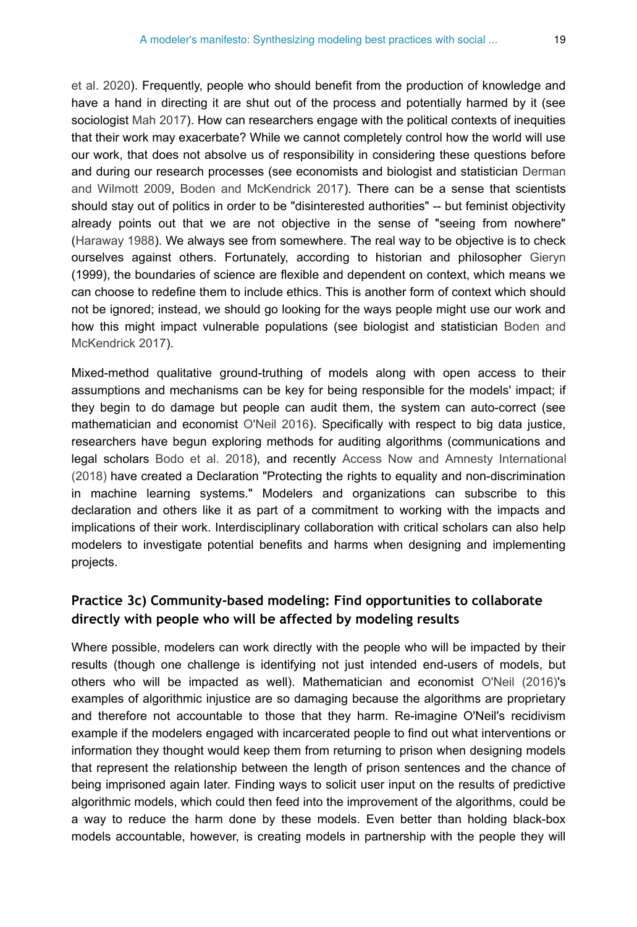[et al. 2020\)](#page-27-15). Frequently, people who should benefit from the production of knowledge and have a hand in directing it are shut out of the process and potentially harmed by it (see sociologist [Mah 2017](#page-26-5)). How can researchers engage with the political contexts of inequities that their work may exacerbate? While we cannot completely control how the world will use our work, that does not absolve us of responsibility in considering these questions before and during our research processes (see economists and biologist and statistician [Derman](#page-23-3) [and Wilmott 2009,](#page-23-3) [Boden and McKendrick 2017](#page-22-9)). There can be a sense that scientists should stay out of politics in order to be "disinterested authorities" -- but feminist objectivity already points out that we are not objective in the sense of "seeing from nowhere" [\(Haraway 1988](#page-25-4)). We always see from somewhere. The real way to be objective is to check ourselves against others. Fortunately, according to historian and philosopher [Gieryn](#page-24-9) (1999), the boundaries of science are flexible and dependent on context, which means we can choose to redefine them to include ethics. This is another form of context which should not be ignored; instead, we should go looking for the ways people might use our work and how this might impact vulnerable populations (see biologist and statistician [Boden and](#page-22-9) [McKendrick 2017\)](#page-22-9).

Mixed-method qualitative ground-truthing of models along with open access to their assumptions and mechanisms can be key for being responsible for the models' impact; if they begin to do damage but people can audit them, the system can auto-correct (see mathematician and economist [O'Neil 2016\)](#page-27-0). Specifically with respect to big data justice, researchers have begun exploring methods for auditing algorithms (communications and legal scholars [Bodo et al. 2018\)](#page-22-4), and recently [Access Now and Amnesty International](#page-22-10) [\(2018\)](#page-22-10) have created a Declaration "Protecting the rights to equality and non-discrimination in machine learning systems." Modelers and organizations can subscribe to this declaration and others like it as part of a commitment to working with the impacts and implications of their work. Interdisciplinary collaboration with critical scholars can also help modelers to investigate potential benefits and harms when designing and implementing projects.

## **Practice 3c) Community-based modeling: Find opportunities to collaborate directly with people who will be affected by modeling results**

Where possible, modelers can work directly with the people who will be impacted by their results (though one challenge is identifying not just intended end-users of models, but others who will be impacted as well). Mathematician and economist [O'Neil \(2016\)](#page-27-0)'s examples of algorithmic injustice are so damaging because the algorithms are proprietary and therefore not accountable to those that they harm. Re-imagine O'Neil's recidivism example if the modelers engaged with incarcerated people to find out what interventions or information they thought would keep them from returning to prison when designing models that represent the relationship between the length of prison sentences and the chance of being imprisoned again later. Finding ways to solicit user input on the results of predictive algorithmic models, which could then feed into the improvement of the algorithms, could be a way to reduce the harm done by these models. Even better than holding black-box models accountable, however, is creating models in partnership with the people they will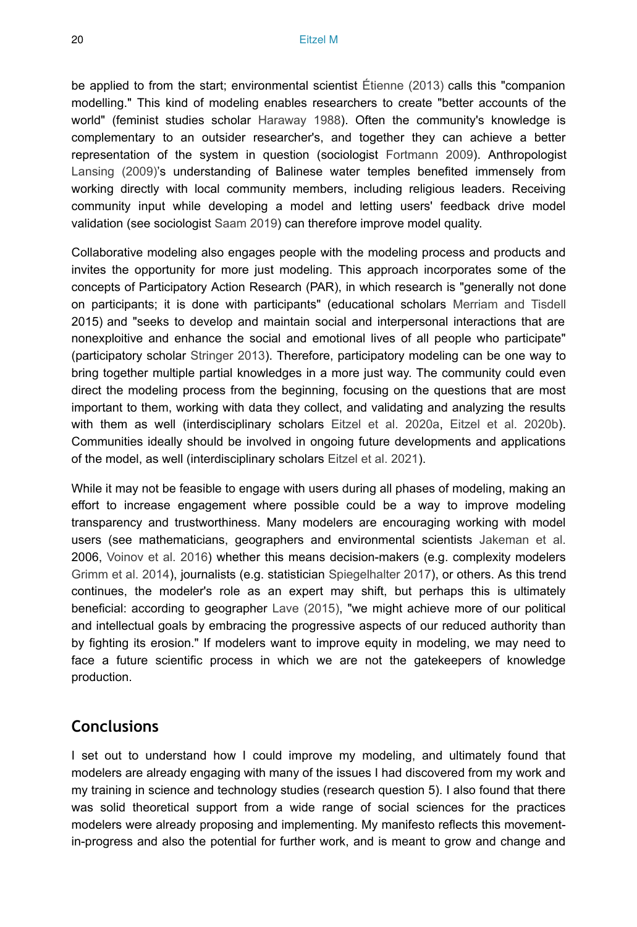be applied to from the start; environmental scientist [Étienne \(2013\)](#page-24-10) calls this "companion modelling." This kind of modeling enables researchers to create "better accounts of the world" (feminist studies scholar [Haraway 1988](#page-25-4)). Often the community's knowledge is complementary to an outsider researcher's, and together they can achieve a better representation of the system in question (sociologist [Fortmann 2009](#page-24-11)). Anthropologist [Lansing \(2009\)](#page-25-15)'s understanding of Balinese water temples benefited immensely from working directly with local community members, including religious leaders. Receiving community input while developing a model and letting users' feedback drive model validation (see sociologist [Saam 2019\)](#page-27-16) can therefore improve model quality.

Collaborative modeling also engages people with the modeling process and products and invites the opportunity for more just modeling. This approach incorporates some of the concepts of Participatory Action Research (PAR), in which research is "generally not done on participants; it is done with participants" (educational scholars [Merriam and Tisdell](#page-26-1) 2015) and "seeks to develop and maintain social and interpersonal interactions that are nonexploitive and enhance the social and emotional lives of all people who participate" (participatory scholar [Stringer 2013\)](#page-28-12). Therefore, participatory modeling can be one way to bring together multiple partial knowledges in a more just way. The community could even direct the modeling process from the beginning, focusing on the questions that are most important to them, working with data they collect, and validating and analyzing the results with them as well (interdisciplinary scholars [Eitzel et al. 2020a,](#page-24-12) [Eitzel et al. 2020b\)](#page-24-13). Communities ideally should be involved in ongoing future developments and applications of the model, as well (interdisciplinary scholars [Eitzel et al. 2021](#page-24-14)).

While it may not be feasible to engage with users during all phases of modeling, making an effort to increase engagement where possible could be a way to improve modeling transparency and trustworthiness. Many modelers are encouraging working with model users (see mathematicians, geographers and environmental scientists [Jakeman et al.](#page-25-16) 2006, [Voinov et al. 2016\)](#page-28-9) whether this means decision-makers (e.g. complexity modelers [Grimm et al. 2014](#page-24-4)), journalists (e.g. statistician [Spiegelhalter 2017](#page-28-0)), or others. As this trend continues, the modeler's role as an expert may shift, but perhaps this is ultimately beneficial: according to geographer [Lave \(2015\),](#page-25-2) "we might achieve more of our political and intellectual goals by embracing the progressive aspects of our reduced authority than by fighting its erosion." If modelers want to improve equity in modeling, we may need to face a future scientific process in which we are not the gatekeepers of knowledge production.

## **Conclusions**

I set out to understand how I could improve my modeling, and ultimately found that modelers are already engaging with many of the issues I had discovered from my work and my training in science and technology studies (research question 5). I also found that there was solid theoretical support from a wide range of social sciences for the practices modelers were already proposing and implementing. My manifesto reflects this movementin-progress and also the potential for further work, and is meant to grow and change and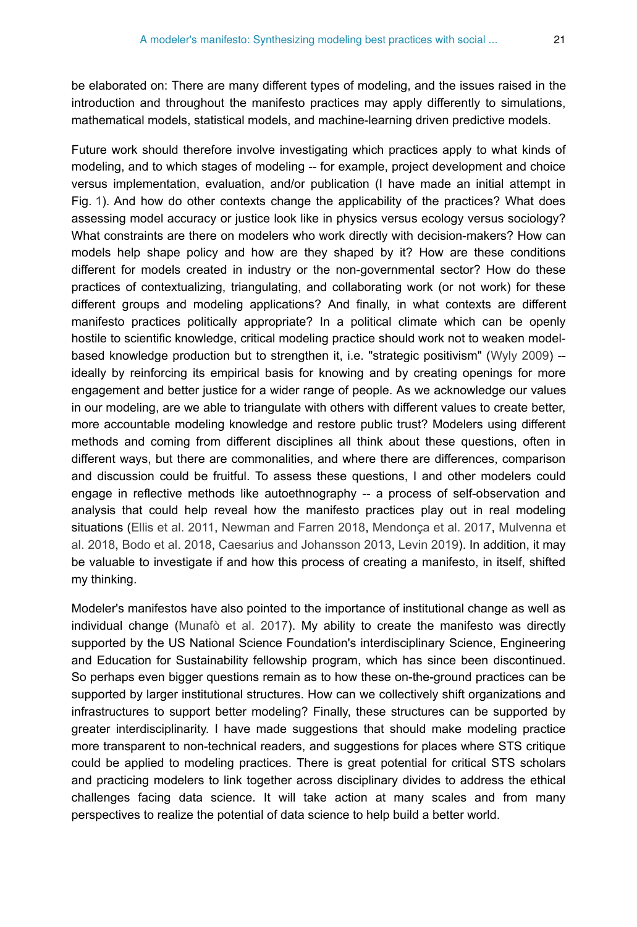be elaborated on: There are many different types of modeling, and the issues raised in the introduction and throughout the manifesto practices may apply differently to simulations, mathematical models, statistical models, and machine-learning driven predictive models.

Future work should therefore involve investigating which practices apply to what kinds of modeling, and to which stages of modeling -- for example, project development and choice versus implementation, evaluation, and/or publication (I have made an initial attempt in Fig. [1\)](#page-21-0). And how do other contexts change the applicability of the practices? What does assessing model accuracy or justice look like in physics versus ecology versus sociology? What constraints are there on modelers who work directly with decision-makers? How can models help shape policy and how are they shaped by it? How are these conditions different for models created in industry or the non-governmental sector? How do these practices of contextualizing, triangulating, and collaborating work (or not work) for these different groups and modeling applications? And finally, in what contexts are different manifesto practices politically appropriate? In a political climate which can be openly hostile to scientific knowledge, critical modeling practice should work not to weaken modelbased knowledge production but to strengthen it, i.e. "strategic positivism" ([Wyly 2009\)](#page-28-10) - ideally by reinforcing its empirical basis for knowing and by creating openings for more engagement and better justice for a wider range of people. As we acknowledge our values in our modeling, are we able to triangulate with others with different values to create better, more accountable modeling knowledge and restore public trust? Modelers using different methods and coming from different disciplines all think about these questions, often in different ways, but there are commonalities, and where there are differences, comparison and discussion could be fruitful. To assess these questions, I and other modelers could engage in reflective methods like autoethnography -- a process of self-observation and analysis that could help reveal how the manifesto practices play out in real modeling situations [\(Ellis et al. 2011](#page-24-15), [Newman and Farren 2018](#page-26-13), [Mendonça et al. 2017,](#page-26-14) [Mulvenna et](#page-26-15) [al. 2018,](#page-26-15) [Bodo et al. 2018](#page-22-4), [Caesarius and Johansson 2013](#page-23-17), [Levin 2019](#page-26-10)). In addition, it may be valuable to investigate if and how this process of creating a manifesto, in itself, shifted my thinking.

Modeler's manifestos have also pointed to the importance of institutional change as well as individual change [\(Munafò et al. 2017](#page-26-0)). My ability to create the manifesto was directly supported by the US National Science Foundation's interdisciplinary Science, Engineering and Education for Sustainability fellowship program, which has since been discontinued. So perhaps even bigger questions remain as to how these on-the-ground practices can be supported by larger institutional structures. How can we collectively shift organizations and infrastructures to support better modeling? Finally, these structures can be supported by greater interdisciplinarity. I have made suggestions that should make modeling practice more transparent to non-technical readers, and suggestions for places where STS critique could be applied to modeling practices. There is great potential for critical STS scholars and practicing modelers to link together across disciplinary divides to address the ethical challenges facing data science. It will take action at many scales and from many perspectives to realize the potential of data science to help build a better world.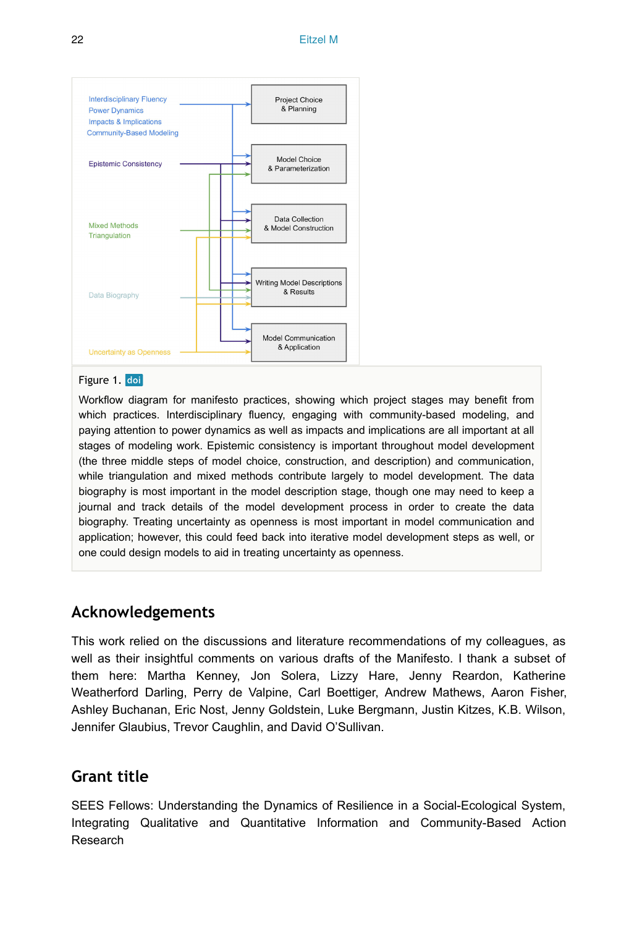<span id="page-21-0"></span>

#### Figure 1. doi

Workflow diagram for manifesto practices, showing which project stages may benefit from which practices. Interdisciplinary fluency, engaging with community-based modeling, and paying attention to power dynamics as well as impacts and implications are all important at all stages of modeling work. Epistemic consistency is important throughout model development (the three middle steps of model choice, construction, and description) and communication, while triangulation and mixed methods contribute largely to model development. The data biography is most important in the model description stage, though one may need to keep a journal and track details of the model development process in order to create the data biography. Treating uncertainty as openness is most important in model communication and application; however, this could feed back into iterative model development steps as well, or one could design models to aid in treating uncertainty as openness.

## **Acknowledgements**

This work relied on the discussions and literature recommendations of my colleagues, as well as their insightful comments on various drafts of the Manifesto. I thank a subset of them here: Martha Kenney, Jon Solera, Lizzy Hare, Jenny Reardon, Katherine Weatherford Darling, Perry de Valpine, Carl Boettiger, Andrew Mathews, Aaron Fisher, Ashley Buchanan, Eric Nost, Jenny Goldstein, Luke Bergmann, Justin Kitzes, K.B. Wilson, Jennifer Glaubius, Trevor Caughlin, and David O'Sullivan.

## **Grant title**

SEES Fellows: Understanding the Dynamics of Resilience in a Social-Ecological System, Integrating Qualitative and Quantitative Information and Community-Based Action Research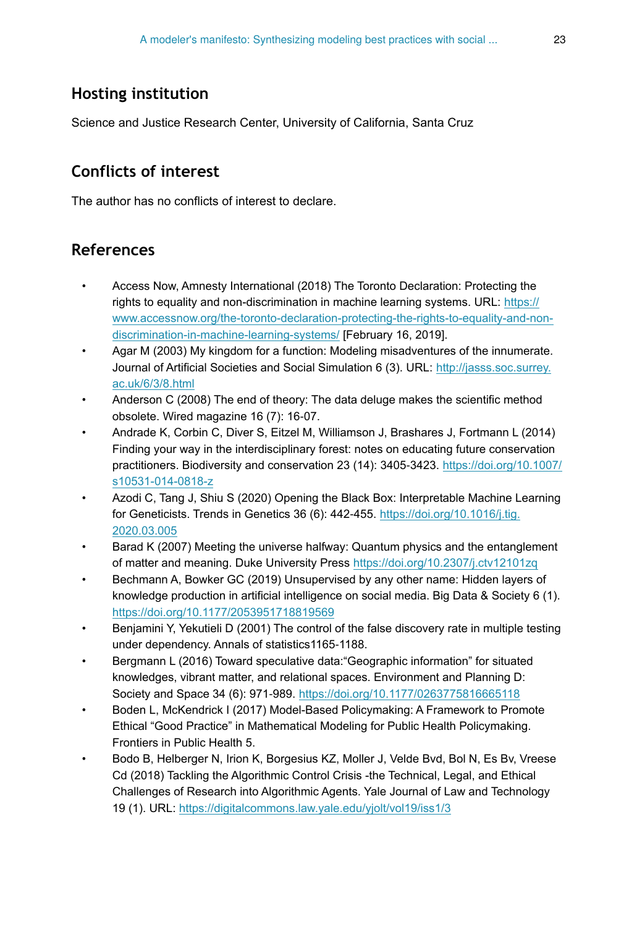# **Hosting institution**

Science and Justice Research Center, University of California, Santa Cruz

# **Conflicts of interest**

The author has no conflicts of interest to declare.

# **References**

- <span id="page-22-10"></span>• Access Now, Amnesty International (2018) The Toronto Declaration: Protecting the rights to equality and non-discrimination in machine learning systems. URL: [https://](https://www.accessnow.org/the-toronto-declaration-protecting-the-rights-to-equality-and-non-discrimination-in-machine-learning-systems) [www.accessnow.org/the-toronto-declaration-protecting-the-rights-to-equality-and-non](https://www.accessnow.org/the-toronto-declaration-protecting-the-rights-to-equality-and-non-discrimination-in-machine-learning-systems)[discrimination-in-machine-learning-systems/](https://www.accessnow.org/the-toronto-declaration-protecting-the-rights-to-equality-and-non-discrimination-in-machine-learning-systems) [February 16, 2019].
- <span id="page-22-7"></span>• Agar M (2003) My kingdom for a function: Modeling misadventures of the innumerate. Journal of Artificial Societies and Social Simulation 6 (3). URL: [http://jasss.soc.surrey.](http://jasss.soc.surrey.ac.uk/6/3/8.html) [ac.uk/6/3/8.html](http://jasss.soc.surrey.ac.uk/6/3/8.html)
- <span id="page-22-1"></span>• Anderson C (2008) The end of theory: The data deluge makes the scientific method obsolete. Wired magazine 16 (7): 16‑07.
- <span id="page-22-8"></span>• Andrade K, Corbin C, Diver S, Eitzel M, Williamson J, Brashares J, Fortmann L (2014) Finding your way in the interdisciplinary forest: notes on educating future conservation practitioners. Biodiversity and conservation 23 (14): 3405-3423. [https://doi.org/10.1007/](https://doi.org/10.1007/s10531-014-0818-z) [s10531-014-0818-z](https://doi.org/10.1007/s10531-014-0818-z)
- <span id="page-22-3"></span>• Azodi C, Tang J, Shiu S (2020) Opening the Black Box: Interpretable Machine Learning for Geneticists. Trends in Genetics 36 (6): 442‑455. [https://doi.org/10.1016/j.tig.](https://doi.org/10.1016/j.tig.2020.03.005) [2020.03.005](https://doi.org/10.1016/j.tig.2020.03.005)
- <span id="page-22-5"></span>Barad K (2007) Meeting the universe halfway: Quantum physics and the entanglement of matter and meaning. Duke University Press<https://doi.org/10.2307/j.ctv12101zq>
- <span id="page-22-2"></span>• Bechmann A, Bowker GC (2019) Unsupervised by any other name: Hidden layers of knowledge production in artificial intelligence on social media. Big Data & Society 6 (1). <https://doi.org/10.1177/2053951718819569>
- <span id="page-22-0"></span>• Benjamini Y, Yekutieli D (2001) The control of the false discovery rate in multiple testing under dependency. Annals of statistics1165-1188.
- <span id="page-22-6"></span>• Bergmann L (2016) Toward speculative data:"Geographic information" for situated knowledges, vibrant matter, and relational spaces. Environment and Planning D: Society and Space 34 (6): 971-989.<https://doi.org/10.1177/0263775816665118>
- <span id="page-22-9"></span>• Boden L, McKendrick I (2017) Model-Based Policymaking: A Framework to Promote Ethical "Good Practice" in Mathematical Modeling for Public Health Policymaking. Frontiers in Public Health 5.
- <span id="page-22-4"></span>• Bodo B, Helberger N, Irion K, Borgesius KZ, Moller J, Velde Bvd, Bol N, Es Bv, Vreese Cd (2018) Tackling the Algorithmic Control Crisis -the Technical, Legal, and Ethical Challenges of Research into Algorithmic Agents. Yale Journal of Law and Technology 19 (1). URL:<https://digitalcommons.law.yale.edu/yjolt/vol19/iss1/3>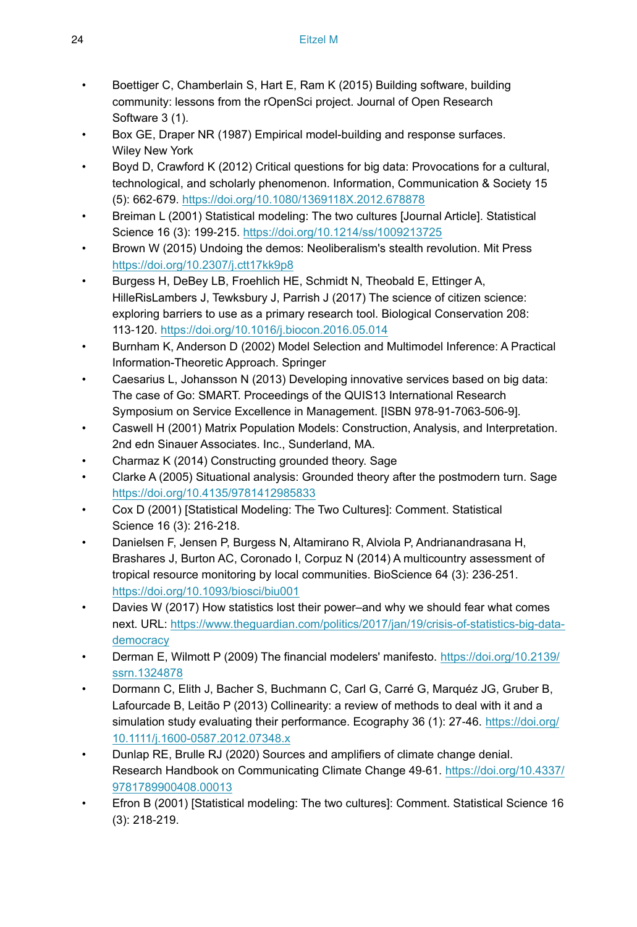- <span id="page-23-15"></span>• Boettiger C, Chamberlain S, Hart E, Ram K (2015) Building software, building community: lessons from the rOpenSci project. Journal of Open Research Software 3 (1).
- <span id="page-23-12"></span>• Box GE, Draper NR (1987) Empirical model-building and response surfaces. Wiley New York
- <span id="page-23-6"></span>• Boyd D, Crawford K (2012) Critical questions for big data: Provocations for a cultural, technological, and scholarly phenomenon. Information, Communication & Society 15 (5): 662‑679. <https://doi.org/10.1080/1369118X.2012.678878>
- <span id="page-23-9"></span>• Breiman L (2001) Statistical modeling: The two cultures [Journal Article]. Statistical Science 16 (3): 199-215.<https://doi.org/10.1214/ss/1009213725>
- <span id="page-23-0"></span>• Brown W (2015) Undoing the demos: Neoliberalism's stealth revolution. Mit Press <https://doi.org/10.2307/j.ctt17kk9p8>
- <span id="page-23-7"></span>• Burgess H, DeBey LB, Froehlich HE, Schmidt N, Theobald E, Ettinger A, HilleRisLambers J, Tewksbury J, Parrish J (2017) The science of citizen science: exploring barriers to use as a primary research tool. Biological Conservation 208: 113‑120. <https://doi.org/10.1016/j.biocon.2016.05.014>
- <span id="page-23-5"></span>• Burnham K, Anderson D (2002) Model Selection and Multimodel Inference: A Practical Information-Theoretic Approach. Springer
- <span id="page-23-17"></span>• Caesarius L, Johansson N (2013) Developing innovative services based on big data: The case of Go: SMART. Proceedings of the QUIS13 International Research Symposium on Service Excellence in Management. [ISBN 978-91-7063-506-9].
- <span id="page-23-16"></span>• Caswell H (2001) Matrix Population Models: Construction, Analysis, and Interpretation. 2nd edn Sinauer Associates. Inc., Sunderland, MA.
- <span id="page-23-14"></span>• Charmaz K (2014) Constructing grounded theory. Sage
- <span id="page-23-13"></span>• Clarke A (2005) Situational analysis: Grounded theory after the postmodern turn. Sage <https://doi.org/10.4135/9781412985833>
- <span id="page-23-11"></span>• Cox D (2001) [Statistical Modeling: The Two Cultures]: Comment. Statistical Science 16 (3): 216‑218.
- <span id="page-23-8"></span>• Danielsen F, Jensen P, Burgess N, Altamirano R, Alviola P, Andrianandrasana H, Brashares J, Burton AC, Coronado I, Corpuz N (2014) A multicountry assessment of tropical resource monitoring by local communities. BioScience 64 (3): 236‑251. <https://doi.org/10.1093/biosci/biu001>
- <span id="page-23-1"></span>Davies W (2017) How statistics lost their power–and why we should fear what comes next. URL: [https://www.theguardian.com/politics/2017/jan/19/crisis-of-statistics-big-data](http://https://www.theguardian.com/politics/2017/jan/19/crisis-of-statistics-big-data-%20democracy)[democracy](http://https://www.theguardian.com/politics/2017/jan/19/crisis-of-statistics-big-data-%20democracy)
- <span id="page-23-3"></span>• Derman E, Wilmott P (2009) The financial modelers' manifesto. [https://doi.org/10.2139/](https://doi.org/10.2139/ssrn.1324878) [ssrn.1324878](https://doi.org/10.2139/ssrn.1324878)
- <span id="page-23-4"></span>• Dormann C, Elith J, Bacher S, Buchmann C, Carl G, Carré G, Marquéz JG, Gruber B, Lafourcade B, Leitão P (2013) Collinearity: a review of methods to deal with it and a simulation study evaluating their performance. Ecography 36 (1): 27-46. [https://doi.org/](https://doi.org/10.1111/j.1600-0587.2012.07348.x) [10.1111/j.1600-0587.2012.07348.x](https://doi.org/10.1111/j.1600-0587.2012.07348.x)
- <span id="page-23-2"></span>• Dunlap RE, Brulle RJ (2020) Sources and amplifiers of climate change denial. Research Handbook on Communicating Climate Change 49‑61. [https://doi.org/10.4337/](https://doi.org/10.4337/9781789900408.00013) [9781789900408.00013](https://doi.org/10.4337/9781789900408.00013)
- <span id="page-23-10"></span>• Efron B (2001) [Statistical modeling: The two cultures]: Comment. Statistical Science 16 (3): 218‑219.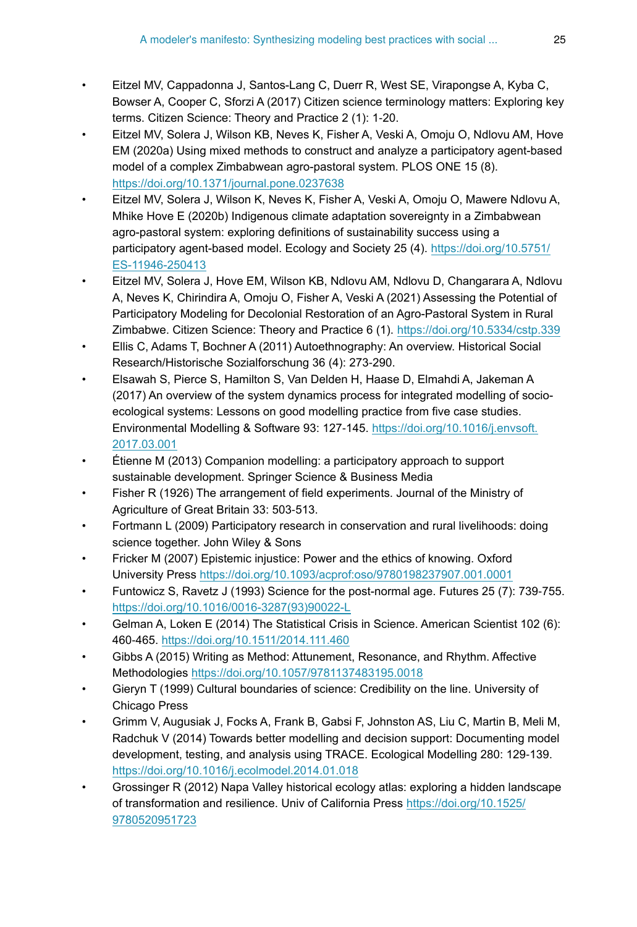- <span id="page-24-0"></span>• Eitzel MV, Cappadonna J, Santos-Lang C, Duerr R, West SE, Virapongse A, Kyba C, Bowser A, Cooper C, Sforzi A (2017) Citizen science terminology matters: Exploring key terms. Citizen Science: Theory and Practice 2 (1): 1‑20.
- <span id="page-24-12"></span>• Eitzel MV, Solera J, Wilson KB, Neves K, Fisher A, Veski A, Omoju O, Ndlovu AM, Hove EM (2020a) Using mixed methods to construct and analyze a participatory agent-based model of a complex Zimbabwean agro-pastoral system. PLOS ONE 15 (8). <https://doi.org/10.1371/journal.pone.0237638>
- <span id="page-24-13"></span>• Eitzel MV, Solera J, Wilson K, Neves K, Fisher A, Veski A, Omoju O, Mawere Ndlovu A, Mhike Hove E (2020b) Indigenous climate adaptation sovereignty in a Zimbabwean agro-pastoral system: exploring definitions of sustainability success using a participatory agent-based model. Ecology and Society 25 (4). [https://doi.org/10.5751/](https://doi.org/10.5751/ES-11946-250413) [ES-11946-250413](https://doi.org/10.5751/ES-11946-250413)
- <span id="page-24-14"></span>• Eitzel MV, Solera J, Hove EM, Wilson KB, Ndlovu AM, Ndlovu D, Changarara A, Ndlovu A, Neves K, Chirindira A, Omoju O, Fisher A, Veski A (2021) Assessing the Potential of Participatory Modeling for Decolonial Restoration of an Agro-Pastoral System in Rural Zimbabwe. Citizen Science: Theory and Practice 6 (1).<https://doi.org/10.5334/cstp.339>
- <span id="page-24-15"></span>• Ellis C, Adams T, Bochner A (2011) Autoethnography: An overview. Historical Social Research/Historische Sozialforschung 36 (4): 273‑290.
- <span id="page-24-5"></span>• Elsawah S, Pierce S, Hamilton S, Van Delden H, Haase D, Elmahdi A, Jakeman A (2017) An overview of the system dynamics process for integrated modelling of socioecological systems: Lessons on good modelling practice from five case studies. Environmental Modelling & Software 93: 127‑145. [https://doi.org/10.1016/j.envsoft.](https://doi.org/10.1016/j.envsoft.2017.03.001) [2017.03.001](https://doi.org/10.1016/j.envsoft.2017.03.001)
- <span id="page-24-10"></span>• Étienne M (2013) Companion modelling: a participatory approach to support sustainable development. Springer Science & Business Media
- <span id="page-24-2"></span>Fisher R (1926) The arrangement of field experiments. Journal of the Ministry of Agriculture of Great Britain 33: 503‑513.
- <span id="page-24-11"></span>• Fortmann L (2009) Participatory research in conservation and rural livelihoods: doing science together. John Wiley & Sons
- <span id="page-24-8"></span>Fricker M (2007) Epistemic injustice: Power and the ethics of knowing. Oxford University Press <https://doi.org/10.1093/acprof:oso/9780198237907.001.0001>
- <span id="page-24-7"></span>• Funtowicz S, Ravetz J (1993) Science for the post-normal age. Futures 25 (7): 739‑755. [https://doi.org/10.1016/0016-3287\(93\)90022-L](https://doi.org/10.1016/0016-3287(93)90022-L)
- <span id="page-24-3"></span>• Gelman A, Loken E (2014) The Statistical Crisis in Science. American Scientist 102 (6): 460‑465. <https://doi.org/10.1511/2014.111.460>
- <span id="page-24-1"></span>• Gibbs A (2015) Writing as Method: Attunement, Resonance, and Rhythm. Affective Methodologies<https://doi.org/10.1057/9781137483195.0018>
- <span id="page-24-9"></span>• Gieryn T (1999) Cultural boundaries of science: Credibility on the line. University of Chicago Press
- <span id="page-24-4"></span>• Grimm V, Augusiak J, Focks A, Frank B, Gabsi F, Johnston AS, Liu C, Martin B, Meli M, Radchuk V (2014) Towards better modelling and decision support: Documenting model development, testing, and analysis using TRACE. Ecological Modelling 280: 129-139. <https://doi.org/10.1016/j.ecolmodel.2014.01.018>
- <span id="page-24-6"></span>• Grossinger R (2012) Napa Valley historical ecology atlas: exploring a hidden landscape of transformation and resilience. Univ of California Press [https://doi.org/10.1525/](https://doi.org/10.1525/9780520951723) [9780520951723](https://doi.org/10.1525/9780520951723)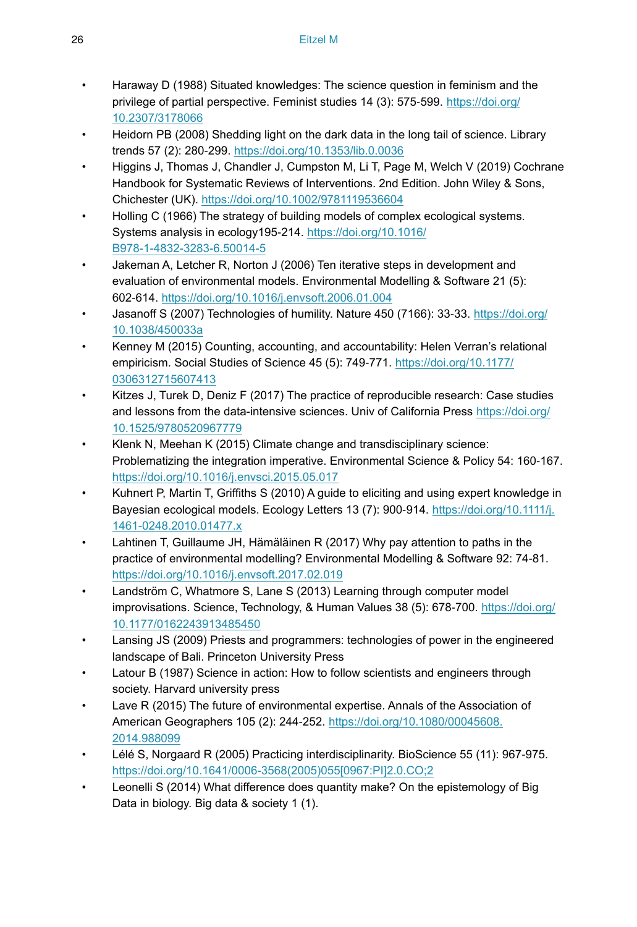- <span id="page-25-4"></span>• Haraway D (1988) Situated knowledges: The science question in feminism and the privilege of partial perspective. Feminist studies 14 (3): 575‑599. [https://doi.org/](https://doi.org/10.2307/3178066) [10.2307/3178066](https://doi.org/10.2307/3178066)
- <span id="page-25-1"></span>• Heidorn PB (2008) Shedding light on the dark data in the long tail of science. Library trends 57 (2): 280‑299. <https://doi.org/10.1353/lib.0.0036>
- <span id="page-25-11"></span>• Higgins J, Thomas J, Chandler J, Cumpston M, Li T, Page M, Welch V (2019) Cochrane Handbook for Systematic Reviews of Interventions. 2nd Edition. John Wiley & Sons, Chichester (UK). <https://doi.org/10.1002/9781119536604>
- <span id="page-25-5"></span>• Holling C (1966) The strategy of building models of complex ecological systems. Systems analysis in ecology195‑214. [https://doi.org/10.1016/](https://doi.org/10.1016/B978-1-4832-3283-6.50014-5) [B978-1-4832-3283-6.50014-5](https://doi.org/10.1016/B978-1-4832-3283-6.50014-5)
- <span id="page-25-16"></span>Jakeman A, Letcher R, Norton J (2006) Ten iterative steps in development and evaluation of environmental models. Environmental Modelling & Software 21 (5): 602‑614. <https://doi.org/10.1016/j.envsoft.2006.01.004>
- <span id="page-25-13"></span>• Jasanoff S (2007) Technologies of humility. Nature 450 (7166): 33‑33. [https://doi.org/](https://doi.org/10.1038/450033a) [10.1038/450033a](https://doi.org/10.1038/450033a)
- <span id="page-25-8"></span>• Kenney M (2015) Counting, accounting, and accountability: Helen Verran's relational empiricism. Social Studies of Science 45 (5): 749-771. [https://doi.org/10.1177/](https://doi.org/10.1177/0306312715607413) [0306312715607413](https://doi.org/10.1177/0306312715607413)
- <span id="page-25-12"></span>• Kitzes J, Turek D, Deniz F (2017) The practice of reproducible research: Case studies and lessons from the data-intensive sciences. Univ of California Press [https://doi.org/](https://doi.org/10.1525/9780520967779) [10.1525/9780520967779](https://doi.org/10.1525/9780520967779)
- <span id="page-25-10"></span>• Klenk N, Meehan K (2015) Climate change and transdisciplinary science: Problematizing the integration imperative. Environmental Science & Policy 54: 160-167. <https://doi.org/10.1016/j.envsci.2015.05.017>
- <span id="page-25-9"></span>• Kuhnert P, Martin T, Griffiths S (2010) A guide to eliciting and using expert knowledge in Bayesian ecological models. Ecology Letters 13 (7): 900-914. [https://doi.org/10.1111/j.](https://doi.org/10.1111/j.1461-0248.2010.01477.x) [1461-0248.2010.01477.x](https://doi.org/10.1111/j.1461-0248.2010.01477.x)
- <span id="page-25-6"></span>• Lahtinen T, Guillaume JH, Hämäläinen R (2017) Why pay attention to paths in the practice of environmental modelling? Environmental Modelling & Software 92: 74‑81. <https://doi.org/10.1016/j.envsoft.2017.02.019>
- <span id="page-25-7"></span>• Landström C, Whatmore S, Lane S (2013) Learning through computer model improvisations. Science, Technology, & Human Values 38 (5): 678-700. [https://doi.org/](https://doi.org/10.1177/0162243913485450) [10.1177/0162243913485450](https://doi.org/10.1177/0162243913485450)
- <span id="page-25-15"></span>• Lansing JS (2009) Priests and programmers: technologies of power in the engineered landscape of Bali. Princeton University Press
- <span id="page-25-3"></span>• Latour B (1987) Science in action: How to follow scientists and engineers through society. Harvard university press
- <span id="page-25-2"></span>Lave R (2015) The future of environmental expertise. Annals of the Association of American Geographers 105 (2): 244‑252. [https://doi.org/10.1080/00045608.](https://doi.org/10.1080/00045608.2014.988099) [2014.988099](https://doi.org/10.1080/00045608.2014.988099)
- <span id="page-25-14"></span>• Lélé S, Norgaard R (2005) Practicing interdisciplinarity. BioScience 55 (11): 967‑975. [https://doi.org/10.1641/0006-3568\(2005\)055\[0967:PI\]2.0.CO;2](https://doi.org/10.1641/0006-3568(2005)055%5B0967:PI%5D2.0.CO;2)
- <span id="page-25-0"></span>• Leonelli S (2014) What difference does quantity make? On the epistemology of Big Data in biology. Big data & society 1 (1).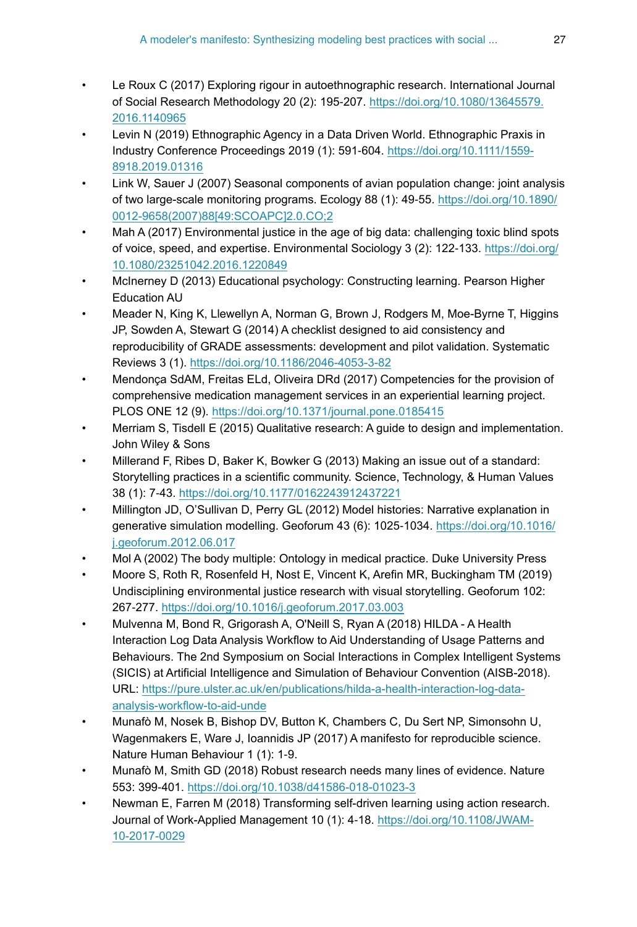- <span id="page-26-8"></span>• Le Roux C (2017) Exploring rigour in autoethnographic research. International Journal of Social Research Methodology 20 (2): 195‑207. [https://doi.org/10.1080/13645579.](https://doi.org/10.1080/13645579.2016.1140965) [2016.1140965](https://doi.org/10.1080/13645579.2016.1140965)
- <span id="page-26-10"></span>• Levin N (2019) Ethnographic Agency in a Data Driven World. Ethnographic Praxis in Industry Conference Proceedings 2019 (1): 591‑604. [https://doi.org/10.1111/1559-](https://doi.org/10.1111/1559-8918.2019.01316) [8918.2019.01316](https://doi.org/10.1111/1559-8918.2019.01316)
- <span id="page-26-3"></span>• Link W, Sauer J (2007) Seasonal components of avian population change: joint analysis of two large-scale monitoring programs. Ecology 88 (1): 49-55. [https://doi.org/10.1890/](https://doi.org/10.1890/0012-9658(2007)88%5B49:SCOAPC%5D2.0.CO;2) [0012-9658\(2007\)88\[49:SCOAPC\]2.0.CO;2](https://doi.org/10.1890/0012-9658(2007)88%5B49:SCOAPC%5D2.0.CO;2)
- <span id="page-26-5"></span>• Mah A (2017) Environmental justice in the age of big data: challenging toxic blind spots of voice, speed, and expertise. Environmental Sociology 3 (2): 122‑133. [https://doi.org/](https://doi.org/10.1080/23251042.2016.1220849) [10.1080/23251042.2016.1220849](https://doi.org/10.1080/23251042.2016.1220849)
- <span id="page-26-6"></span>• McInerney D (2013) Educational psychology: Constructing learning. Pearson Higher Education AU
- <span id="page-26-12"></span>• Meader N, King K, Llewellyn A, Norman G, Brown J, Rodgers M, Moe-Byrne T, Higgins JP, Sowden A, Stewart G (2014) A checklist designed to aid consistency and reproducibility of GRADE assessments: development and pilot validation. Systematic Reviews 3 (1).<https://doi.org/10.1186/2046-4053-3-82>
- <span id="page-26-14"></span>• Mendonça SdAM, Freitas ELd, Oliveira DRd (2017) Competencies for the provision of comprehensive medication management services in an experiential learning project. PLOS ONE 12 (9). <https://doi.org/10.1371/journal.pone.0185415>
- <span id="page-26-1"></span>• Merriam S, Tisdell E (2015) Qualitative research: A guide to design and implementation. John Wiley & Sons
- <span id="page-26-2"></span>• Millerand F, Ribes D, Baker K, Bowker G (2013) Making an issue out of a standard: Storytelling practices in a scientific community. Science, Technology, & Human Values 38 (1): 7‑43.<https://doi.org/10.1177/0162243912437221>
- <span id="page-26-9"></span>• Millington JD, O'Sullivan D, Perry GL (2012) Model histories: Narrative explanation in generative simulation modelling. Geoforum 43 (6): 1025-1034. [https://doi.org/10.1016/](https://doi.org/10.1016/j.geoforum.2012.06.017) [j.geoforum.2012.06.017](https://doi.org/10.1016/j.geoforum.2012.06.017)
- <span id="page-26-11"></span>• Mol A (2002) The body multiple: Ontology in medical practice. Duke University Press
- <span id="page-26-4"></span>• Moore S, Roth R, Rosenfeld H, Nost E, Vincent K, Arefin MR, Buckingham TM (2019) Undisciplining environmental justice research with visual storytelling. Geoforum 102: 267‑277. <https://doi.org/10.1016/j.geoforum.2017.03.003>
- <span id="page-26-15"></span>• Mulvenna M, Bond R, Grigorash A, O'Neill S, Ryan A (2018) HILDA - A Health Interaction Log Data Analysis Workflow to Aid Understanding of Usage Patterns and Behaviours. The 2nd Symposium on Social Interactions in Complex Intelligent Systems (SICIS) at Artificial Intelligence and Simulation of Behaviour Convention (AISB-2018). URL: [https://pure.ulster.ac.uk/en/publications/hilda-a-health-interaction-log-data](https://pure.ulster.ac.uk/en/publications/hilda-a-health-interaction-log-data-analysis-workflow-to-aid-unde)[analysis-workflow-to-aid-unde](https://pure.ulster.ac.uk/en/publications/hilda-a-health-interaction-log-data-analysis-workflow-to-aid-unde)
- <span id="page-26-0"></span>• Munafò M, Nosek B, Bishop DV, Button K, Chambers C, Du Sert NP, Simonsohn U, Wagenmakers E, Ware J, Ioannidis JP (2017) A manifesto for reproducible science. Nature Human Behaviour 1 (1): 1‑9.
- <span id="page-26-7"></span>• Munafò M, Smith GD (2018) Robust research needs many lines of evidence. Nature 553: 399‑401. <https://doi.org/10.1038/d41586-018-01023-3>
- <span id="page-26-13"></span>• Newman E, Farren M (2018) Transforming self-driven learning using action research. Journal of Work-Applied Management 10 (1): 4‑18. [https://doi.org/10.1108/JWAM-](https://doi.org/10.1108/JWAM-10-2017-0029)[10-2017-0029](https://doi.org/10.1108/JWAM-10-2017-0029)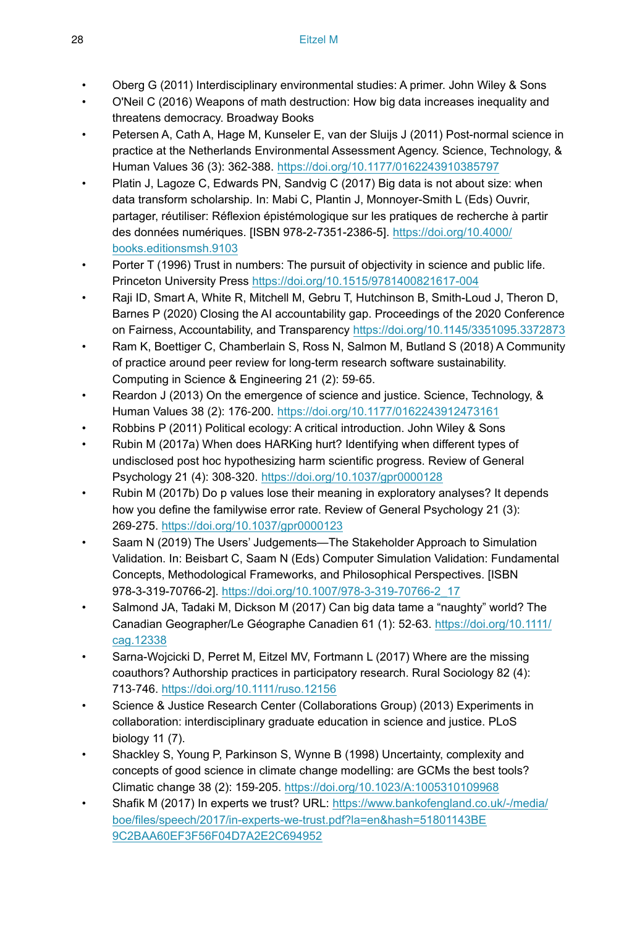- <span id="page-27-10"></span>• Oberg G (2011) Interdisciplinary environmental studies: A primer. John Wiley & Sons
- <span id="page-27-0"></span>• O'Neil C (2016) Weapons of math destruction: How big data increases inequality and threatens democracy. Broadway Books
- <span id="page-27-8"></span>• Petersen A, Cath A, Hage M, Kunseler E, van der Sluijs J (2011) Post-normal science in practice at the Netherlands Environmental Assessment Agency. Science, Technology, & Human Values 36 (3): 362‑388.<https://doi.org/10.1177/0162243910385797>
- <span id="page-27-1"></span>Platin J, Lagoze C, Edwards PN, Sandvig C (2017) Big data is not about size: when data transform scholarship. In: Mabi C, Plantin J, Monnoyer-Smith L (Eds) Ouvrir, partager, réutiliser: Réflexion épistémologique sur les pratiques de recherche à partir des données numériques. [ISBN 978-2-7351-2386-5]. [https://doi.org/10.4000/](https://doi.org/10.4000/books.editionsmsh.9103) [books.editionsmsh.9103](https://doi.org/10.4000/books.editionsmsh.9103)
- <span id="page-27-3"></span>Porter T (1996) Trust in numbers: The pursuit of objectivity in science and public life. Princeton University Press<https://doi.org/10.1515/9781400821617-004>
- <span id="page-27-15"></span>• Raji ID, Smart A, White R, Mitchell M, Gebru T, Hutchinson B, Smith-Loud J, Theron D, Barnes P (2020) Closing the AI accountability gap. Proceedings of the 2020 Conference on Fairness, Accountability, and Transparency <https://doi.org/10.1145/3351095.3372873>
- <span id="page-27-7"></span>• Ram K, Boettiger C, Chamberlain S, Ross N, Salmon M, Butland S (2018) A Community of practice around peer review for long-term research software sustainability. Computing in Science & Engineering 21 (2): 59‑65.
- <span id="page-27-14"></span>Reardon J (2013) On the emergence of science and justice. Science, Technology, & Human Values 38 (2): 176‑200.<https://doi.org/10.1177/0162243912473161>
- <span id="page-27-13"></span>• Robbins P (2011) Political ecology: A critical introduction. John Wiley & Sons
- <span id="page-27-5"></span>• Rubin M (2017a) When does HARKing hurt? Identifying when different types of undisclosed post hoc hypothesizing harm scientific progress. Review of General Psychology 21 (4): 308‑320. <https://doi.org/10.1037/gpr0000128>
- <span id="page-27-6"></span>• Rubin M (2017b) Do p values lose their meaning in exploratory analyses? It depends how you define the familywise error rate. Review of General Psychology 21 (3): 269‑275. <https://doi.org/10.1037/gpr0000123>
- <span id="page-27-16"></span>• Saam N (2019) The Users' Judgements—The Stakeholder Approach to Simulation Validation. In: Beisbart C, Saam N (Eds) Computer Simulation Validation: Fundamental Concepts, Methodological Frameworks, and Philosophical Perspectives. [ISBN 978-3-319-70766-2]. [https://doi.org/10.1007/978-3-319-70766-2\\_17](https://doi.org/10.1007/978-3-319-70766-2_17)
- <span id="page-27-2"></span>• Salmond JA, Tadaki M, Dickson M (2017) Can big data tame a "naughty" world? The Canadian Geographer/Le Géographe Canadien 61 (1): 52‑63. [https://doi.org/10.1111/](https://doi.org/10.1111/cag.12338) [cag.12338](https://doi.org/10.1111/cag.12338)
- <span id="page-27-12"></span>• Sarna-Wojcicki D, Perret M, Eitzel MV, Fortmann L (2017) Where are the missing coauthors? Authorship practices in participatory research. Rural Sociology 82 (4): 713‑746. <https://doi.org/10.1111/ruso.12156>
- <span id="page-27-11"></span>• Science & Justice Research Center (Collaborations Group) (2013) Experiments in collaboration: interdisciplinary graduate education in science and justice. PLoS biology 11 (7).
- <span id="page-27-4"></span>• Shackley S, Young P, Parkinson S, Wynne B (1998) Uncertainty, complexity and concepts of good science in climate change modelling: are GCMs the best tools? Climatic change 38 (2): 159‑205. <https://doi.org/10.1023/A:1005310109968>
- <span id="page-27-9"></span>• Shafik M (2017) In experts we trust? URL: [https://www.bankofengland.co.uk/-/media/](https://www.bankofengland.co.uk/-/media/boe/files/speech/2017/in-experts-we-trust.pdf?la=en&hash=51801143BE9C2BAA60EF3F56F04D7A2E2C694952) [boe/files/speech/2017/in-experts-we-trust.pdf?la=en&hash=51801143BE](https://www.bankofengland.co.uk/-/media/boe/files/speech/2017/in-experts-we-trust.pdf?la=en&hash=51801143BE9C2BAA60EF3F56F04D7A2E2C694952) [9C2BAA60EF3F56F04D7A2E2C694952](https://www.bankofengland.co.uk/-/media/boe/files/speech/2017/in-experts-we-trust.pdf?la=en&hash=51801143BE9C2BAA60EF3F56F04D7A2E2C694952)